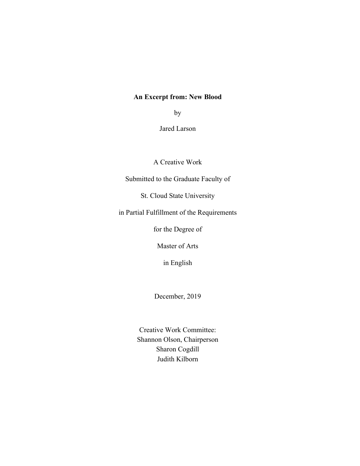## **An Excerpt from: New Blood**

by

Jared Larson

A Creative Work

Submitted to the Graduate Faculty of

St. Cloud State University

in Partial Fulfillment of the Requirements

for the Degree of

Master of Arts

in English

December, 2019

Creative Work Committee: Shannon Olson, Chairperson Sharon Cogdill Judith Kilborn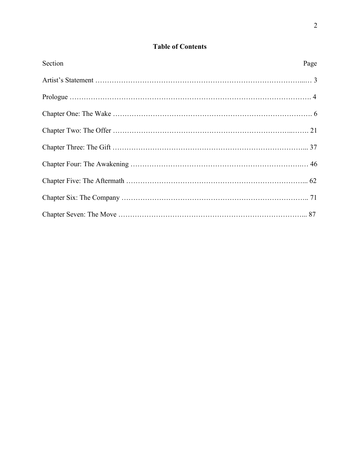# **Table of Contents**

| Section | Page |
|---------|------|
|         |      |
|         |      |
|         |      |
|         |      |
|         |      |
|         |      |
|         |      |
|         |      |
|         |      |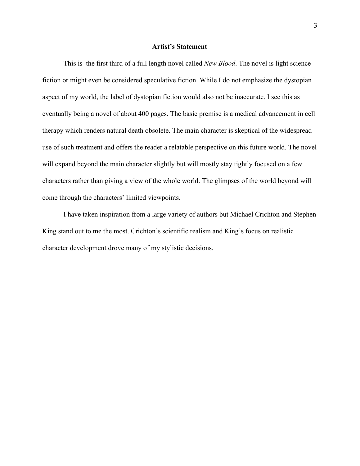## **Artist's Statement**

This is the first third of a full length novel called *New Blood*. The novel is light science fiction or might even be considered speculative fiction. While I do not emphasize the dystopian aspect of my world, the label of dystopian fiction would also not be inaccurate. I see this as eventually being a novel of about 400 pages. The basic premise is a medical advancement in cell therapy which renders natural death obsolete. The main character is skeptical of the widespread use of such treatment and offers the reader a relatable perspective on this future world. The novel will expand beyond the main character slightly but will mostly stay tightly focused on a few characters rather than giving a view of the whole world. The glimpses of the world beyond will come through the characters' limited viewpoints.

I have taken inspiration from a large variety of authors but Michael Crichton and Stephen King stand out to me the most. Crichton's scientific realism and King's focus on realistic character development drove many of my stylistic decisions.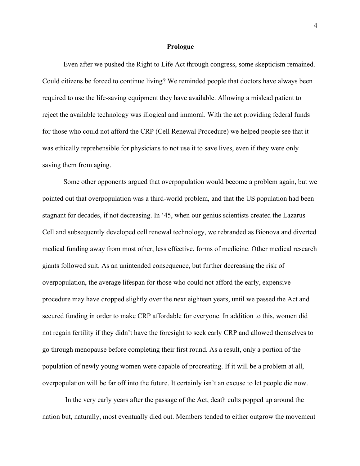#### **Prologue**

Even after we pushed the Right to Life Act through congress, some skepticism remained. Could citizens be forced to continue living? We reminded people that doctors have always been required to use the life-saving equipment they have available. Allowing a mislead patient to reject the available technology was illogical and immoral. With the act providing federal funds for those who could not afford the CRP (Cell Renewal Procedure) we helped people see that it was ethically reprehensible for physicians to not use it to save lives, even if they were only saving them from aging.

Some other opponents argued that overpopulation would become a problem again, but we pointed out that overpopulation was a third-world problem, and that the US population had been stagnant for decades, if not decreasing. In '45, when our genius scientists created the Lazarus Cell and subsequently developed cell renewal technology, we rebranded as Bionova and diverted medical funding away from most other, less effective, forms of medicine. Other medical research giants followed suit. As an unintended consequence, but further decreasing the risk of overpopulation, the average lifespan for those who could not afford the early, expensive procedure may have dropped slightly over the next eighteen years, until we passed the Act and secured funding in order to make CRP affordable for everyone. In addition to this, women did not regain fertility if they didn't have the foresight to seek early CRP and allowed themselves to go through menopause before completing their first round. As a result, only a portion of the population of newly young women were capable of procreating. If it will be a problem at all, overpopulation will be far off into the future. It certainly isn't an excuse to let people die now.

In the very early years after the passage of the Act, death cults popped up around the nation but, naturally, most eventually died out. Members tended to either outgrow the movement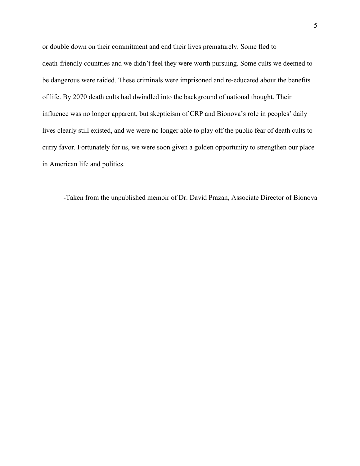or double down on their commitment and end their lives prematurely. Some fled to death-friendly countries and we didn't feel they were worth pursuing. Some cults we deemed to be dangerous were raided. These criminals were imprisoned and re-educated about the benefits of life. By 2070 death cults had dwindled into the background of national thought. Their influence was no longer apparent, but skepticism of CRP and Bionova's role in peoples' daily lives clearly still existed, and we were no longer able to play off the public fear of death cults to curry favor. Fortunately for us, we were soon given a golden opportunity to strengthen our place in American life and politics.

-Taken from the unpublished memoir of Dr. David Prazan, Associate Director of Bionova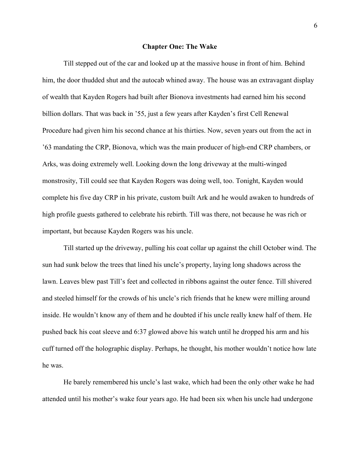#### **Chapter One: The Wake**

Till stepped out of the car and looked up at the massive house in front of him. Behind him, the door thudded shut and the autocab whined away. The house was an extravagant display of wealth that Kayden Rogers had built after Bionova investments had earned him his second billion dollars. That was back in '55, just a few years after Kayden's first Cell Renewal Procedure had given him his second chance at his thirties. Now, seven years out from the act in '63 mandating the CRP, Bionova, which was the main producer of high-end CRP chambers, or Arks, was doing extremely well. Looking down the long driveway at the multi-winged monstrosity, Till could see that Kayden Rogers was doing well, too. Tonight, Kayden would complete his five day CRP in his private, custom built Ark and he would awaken to hundreds of high profile guests gathered to celebrate his rebirth. Till was there, not because he was rich or important, but because Kayden Rogers was his uncle.

Till started up the driveway, pulling his coat collar up against the chill October wind. The sun had sunk below the trees that lined his uncle's property, laying long shadows across the lawn. Leaves blew past Till's feet and collected in ribbons against the outer fence. Till shivered and steeled himself for the crowds of his uncle's rich friends that he knew were milling around inside. He wouldn't know any of them and he doubted if his uncle really knew half of them. He pushed back his coat sleeve and 6:37 glowed above his watch until he dropped his arm and his cuff turned off the holographic display. Perhaps, he thought, his mother wouldn't notice how late he was.

He barely remembered his uncle's last wake, which had been the only other wake he had attended until his mother's wake four years ago. He had been six when his uncle had undergone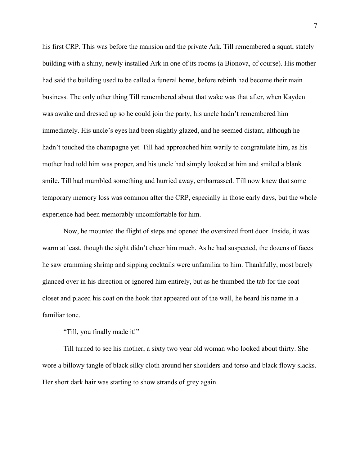his first CRP. This was before the mansion and the private Ark. Till remembered a squat, stately building with a shiny, newly installed Ark in one of its rooms (a Bionova, of course). His mother had said the building used to be called a funeral home, before rebirth had become their main business. The only other thing Till remembered about that wake was that after, when Kayden was awake and dressed up so he could join the party, his uncle hadn't remembered him immediately. His uncle's eyes had been slightly glazed, and he seemed distant, although he hadn't touched the champagne yet. Till had approached him warily to congratulate him, as his mother had told him was proper, and his uncle had simply looked at him and smiled a blank smile. Till had mumbled something and hurried away, embarrassed. Till now knew that some temporary memory loss was common after the CRP, especially in those early days, but the whole experience had been memorably uncomfortable for him.

Now, he mounted the flight of steps and opened the oversized front door. Inside, it was warm at least, though the sight didn't cheer him much. As he had suspected, the dozens of faces he saw cramming shrimp and sipping cocktails were unfamiliar to him. Thankfully, most barely glanced over in his direction or ignored him entirely, but as he thumbed the tab for the coat closet and placed his coat on the hook that appeared out of the wall, he heard his name in a familiar tone.

"Till, you finally made it!"

Till turned to see his mother, a sixty two year old woman who looked about thirty. She wore a billowy tangle of black silky cloth around her shoulders and torso and black flowy slacks. Her short dark hair was starting to show strands of grey again.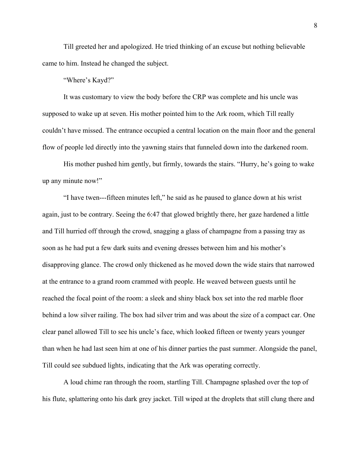Till greeted her and apologized. He tried thinking of an excuse but nothing believable came to him. Instead he changed the subject.

"Where's Kayd?"

It was customary to view the body before the CRP was complete and his uncle was supposed to wake up at seven. His mother pointed him to the Ark room, which Till really couldn't have missed. The entrance occupied a central location on the main floor and the general flow of people led directly into the yawning stairs that funneled down into the darkened room.

His mother pushed him gently, but firmly, towards the stairs. "Hurry, he's going to wake up any minute now!"

"I have twen---fifteen minutes left," he said as he paused to glance down at his wrist again, just to be contrary. Seeing the 6:47 that glowed brightly there, her gaze hardened a little and Till hurried off through the crowd, snagging a glass of champagne from a passing tray as soon as he had put a few dark suits and evening dresses between him and his mother's disapproving glance. The crowd only thickened as he moved down the wide stairs that narrowed at the entrance to a grand room crammed with people. He weaved between guests until he reached the focal point of the room: a sleek and shiny black box set into the red marble floor behind a low silver railing. The box had silver trim and was about the size of a compact car. One clear panel allowed Till to see his uncle's face, which looked fifteen or twenty years younger than when he had last seen him at one of his dinner parties the past summer. Alongside the panel, Till could see subdued lights, indicating that the Ark was operating correctly.

A loud chime ran through the room, startling Till. Champagne splashed over the top of his flute, splattering onto his dark grey jacket. Till wiped at the droplets that still clung there and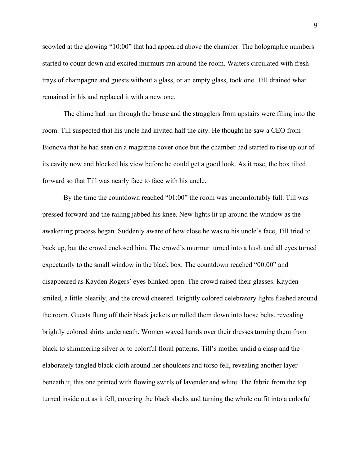scowled at the glowing "10:00" that had appeared above the chamber. The holographic numbers started to count down and excited murmurs ran around the room. Waiters circulated with fresh trays of champagne and guests without a glass, or an empty glass, took one. Till drained what remained in his and replaced it with a new one.

The chime had run through the house and the stragglers from upstairs were filing into the room. Till suspected that his uncle had invited half the city. He thought he saw a CEO from Bionova that he had seen on a magazine cover once but the chamber had started to rise up out of its cavity now and blocked his view before he could get a good look. As it rose, the box tilted forward so that Till was nearly face to face with his uncle.

By the time the countdown reached "01:00" the room was uncomfortably full. Till was pressed forward and the railing jabbed his knee. New lights lit up around the window as the awakening process began. Suddenly aware of how close he was to his uncle's face, Till tried to back up, but the crowd enclosed him. The crowd's murmur turned into a hush and all eyes turned expectantly to the small window in the black box. The countdown reached "00:00" and disappeared as Kayden Rogers' eyes blinked open. The crowd raised their glasses. Kayden smiled, a little blearily, and the crowd cheered. Brightly colored celebratory lights flashed around the room. Guests flung off their black jackets or rolled them down into loose belts, revealing brightly colored shirts underneath. Women waved hands over their dresses turning them from black to shimmering silver or to colorful floral patterns. Till's mother undid a clasp and the elaborately tangled black cloth around her shoulders and torso fell, revealing another layer beneath it, this one printed with flowing swirls of lavender and white. The fabric from the top turned inside out as it fell, covering the black slacks and turning the whole outfit into a colorful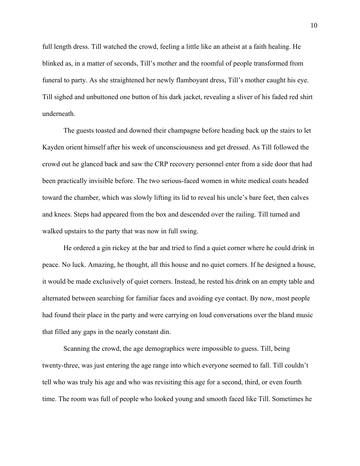full length dress. Till watched the crowd, feeling a little like an atheist at a faith healing. He blinked as, in a matter of seconds, Till's mother and the roomful of people transformed from funeral to party. As she straightened her newly flamboyant dress, Till's mother caught his eye. Till sighed and unbuttoned one button of his dark jacket, revealing a sliver of his faded red shirt underneath.

The guests toasted and downed their champagne before heading back up the stairs to let Kayden orient himself after his week of unconsciousness and get dressed. As Till followed the crowd out he glanced back and saw the CRP recovery personnel enter from a side door that had been practically invisible before. The two serious-faced women in white medical coats headed toward the chamber, which was slowly lifting its lid to reveal his uncle's bare feet, then calves and knees. Steps had appeared from the box and descended over the railing. Till turned and walked upstairs to the party that was now in full swing.

He ordered a gin rickey at the bar and tried to find a quiet corner where he could drink in peace. No luck. Amazing, he thought, all this house and no quiet corners. If he designed a house, it would be made exclusively of quiet corners. Instead, he rested his drink on an empty table and alternated between searching for familiar faces and avoiding eye contact. By now, most people had found their place in the party and were carrying on loud conversations over the bland music that filled any gaps in the nearly constant din.

Scanning the crowd, the age demographics were impossible to guess. Till, being twenty-three, was just entering the age range into which everyone seemed to fall. Till couldn't tell who was truly his age and who was revisiting this age for a second, third, or even fourth time. The room was full of people who looked young and smooth faced like Till. Sometimes he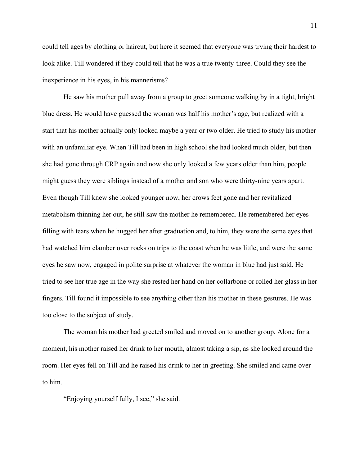could tell ages by clothing or haircut, but here it seemed that everyone was trying their hardest to look alike. Till wondered if they could tell that he was a true twenty-three. Could they see the inexperience in his eyes, in his mannerisms?

He saw his mother pull away from a group to greet someone walking by in a tight, bright blue dress. He would have guessed the woman was half his mother's age, but realized with a start that his mother actually only looked maybe a year or two older. He tried to study his mother with an unfamiliar eye. When Till had been in high school she had looked much older, but then she had gone through CRP again and now she only looked a few years older than him, people might guess they were siblings instead of a mother and son who were thirty-nine years apart. Even though Till knew she looked younger now, her crows feet gone and her revitalized metabolism thinning her out, he still saw the mother he remembered. He remembered her eyes filling with tears when he hugged her after graduation and, to him, they were the same eyes that had watched him clamber over rocks on trips to the coast when he was little, and were the same eyes he saw now, engaged in polite surprise at whatever the woman in blue had just said. He tried to see her true age in the way she rested her hand on her collarbone or rolled her glass in her fingers. Till found it impossible to see anything other than his mother in these gestures. He was too close to the subject of study.

The woman his mother had greeted smiled and moved on to another group. Alone for a moment, his mother raised her drink to her mouth, almost taking a sip, as she looked around the room. Her eyes fell on Till and he raised his drink to her in greeting. She smiled and came over to him.

"Enjoying yourself fully, I see," she said.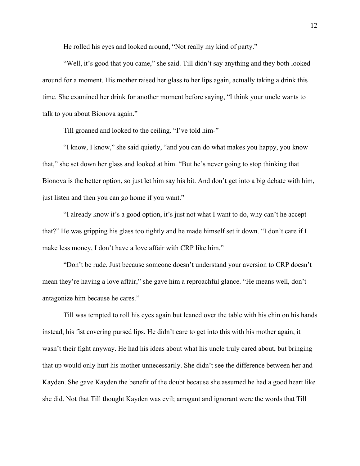He rolled his eyes and looked around, "Not really my kind of party."

"Well, it's good that you came," she said. Till didn't say anything and they both looked around for a moment. His mother raised her glass to her lips again, actually taking a drink this time. She examined her drink for another moment before saying, "I think your uncle wants to talk to you about Bionova again."

Till groaned and looked to the ceiling. "I've told him-"

"I know, I know," she said quietly, "and you can do what makes you happy, you know that," she set down her glass and looked at him. "But he's never going to stop thinking that Bionova is the better option, so just let him say his bit. And don't get into a big debate with him, just listen and then you can go home if you want."

"I already know it's a good option, it's just not what I want to do, why can't he accept that?" He was gripping his glass too tightly and he made himself set it down. "I don't care if I make less money, I don't have a love affair with CRP like him."

"Don't be rude. Just because someone doesn't understand your aversion to CRP doesn't mean they're having a love affair," she gave him a reproachful glance. "He means well, don't antagonize him because he cares."

Till was tempted to roll his eyes again but leaned over the table with his chin on his hands instead, his fist covering pursed lips. He didn't care to get into this with his mother again, it wasn't their fight anyway. He had his ideas about what his uncle truly cared about, but bringing that up would only hurt his mother unnecessarily. She didn't see the difference between her and Kayden. She gave Kayden the benefit of the doubt because she assumed he had a good heart like she did. Not that Till thought Kayden was evil; arrogant and ignorant were the words that Till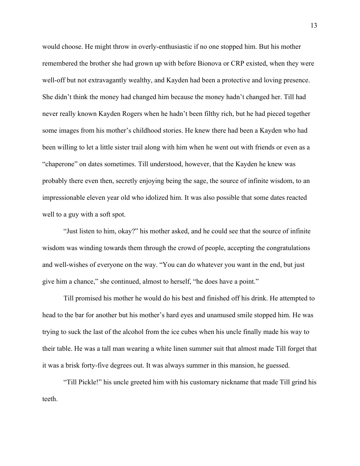would choose. He might throw in overly-enthusiastic if no one stopped him. But his mother remembered the brother she had grown up with before Bionova or CRP existed, when they were well-off but not extravagantly wealthy, and Kayden had been a protective and loving presence. She didn't think the money had changed him because the money hadn't changed her. Till had never really known Kayden Rogers when he hadn't been filthy rich, but he had pieced together some images from his mother's childhood stories. He knew there had been a Kayden who had been willing to let a little sister trail along with him when he went out with friends or even as a "chaperone" on dates sometimes. Till understood, however, that the Kayden he knew was probably there even then, secretly enjoying being the sage, the source of infinite wisdom, to an impressionable eleven year old who idolized him. It was also possible that some dates reacted well to a guy with a soft spot.

"Just listen to him, okay?" his mother asked, and he could see that the source of infinite wisdom was winding towards them through the crowd of people, accepting the congratulations and well-wishes of everyone on the way. "You can do whatever you want in the end, but just give him a chance," she continued, almost to herself, "he does have a point."

Till promised his mother he would do his best and finished off his drink. He attempted to head to the bar for another but his mother's hard eyes and unamused smile stopped him. He was trying to suck the last of the alcohol from the ice cubes when his uncle finally made his way to their table. He was a tall man wearing a white linen summer suit that almost made Till forget that it was a brisk forty-five degrees out. It was always summer in this mansion, he guessed.

"Till Pickle!" his uncle greeted him with his customary nickname that made Till grind his teeth.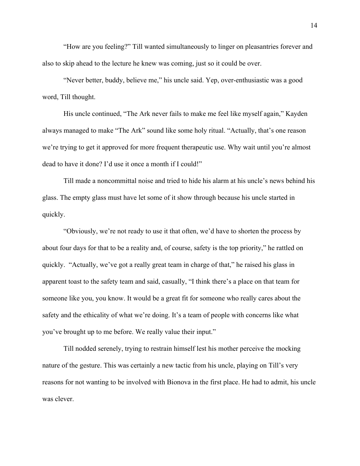"How are you feeling?" Till wanted simultaneously to linger on pleasantries forever and also to skip ahead to the lecture he knew was coming, just so it could be over.

"Never better, buddy, believe me," his uncle said. Yep, over-enthusiastic was a good word, Till thought.

His uncle continued, "The Ark never fails to make me feel like myself again," Kayden always managed to make "The Ark" sound like some holy ritual. "Actually, that's one reason we're trying to get it approved for more frequent therapeutic use. Why wait until you're almost dead to have it done? I'd use it once a month if I could!"

Till made a noncommittal noise and tried to hide his alarm at his uncle's news behind his glass. The empty glass must have let some of it show through because his uncle started in quickly.

"Obviously, we're not ready to use it that often, we'd have to shorten the process by about four days for that to be a reality and, of course, safety is the top priority," he rattled on quickly. "Actually, we've got a really great team in charge of that," he raised his glass in apparent toast to the safety team and said, casually, "I think there's a place on that team for someone like you, you know. It would be a great fit for someone who really cares about the safety and the ethicality of what we're doing. It's a team of people with concerns like what you've brought up to me before. We really value their input."

Till nodded serenely, trying to restrain himself lest his mother perceive the mocking nature of the gesture. This was certainly a new tactic from his uncle, playing on Till's very reasons for not wanting to be involved with Bionova in the first place. He had to admit, his uncle was clever.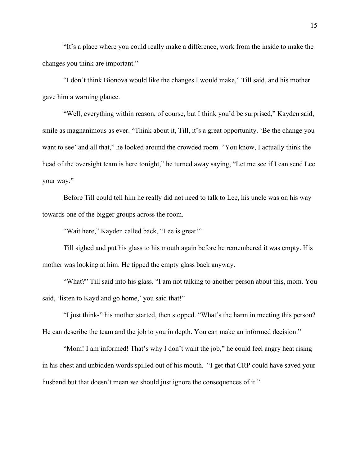"It's a place where you could really make a difference, work from the inside to make the changes you think are important."

"I don't think Bionova would like the changes I would make," Till said, and his mother gave him a warning glance.

"Well, everything within reason, of course, but I think you'd be surprised," Kayden said, smile as magnanimous as ever. "Think about it, Till, it's a great opportunity. 'Be the change you want to see' and all that," he looked around the crowded room. "You know, I actually think the head of the oversight team is here tonight," he turned away saying, "Let me see if I can send Lee your way."

Before Till could tell him he really did not need to talk to Lee, his uncle was on his way towards one of the bigger groups across the room.

"Wait here," Kayden called back, "Lee is great!"

Till sighed and put his glass to his mouth again before he remembered it was empty. His mother was looking at him. He tipped the empty glass back anyway.

"What?" Till said into his glass. "I am not talking to another person about this, mom. You said, 'listen to Kayd and go home,' you said that!"

"I just think-" his mother started, then stopped. "What's the harm in meeting this person? He can describe the team and the job to you in depth. You can make an informed decision."

"Mom! I am informed! That's why I don't want the job," he could feel angry heat rising in his chest and unbidden words spilled out of his mouth. "I get that CRP could have saved your husband but that doesn't mean we should just ignore the consequences of it."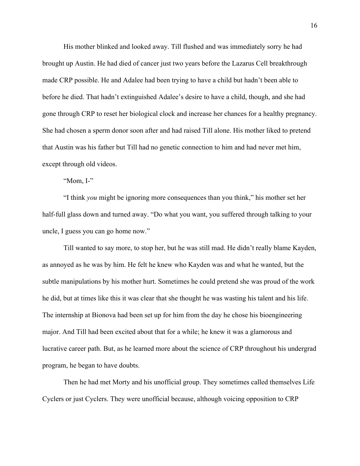His mother blinked and looked away. Till flushed and was immediately sorry he had brought up Austin. He had died of cancer just two years before the Lazarus Cell breakthrough made CRP possible. He and Adalee had been trying to have a child but hadn't been able to before he died. That hadn't extinguished Adalee's desire to have a child, though, and she had gone through CRP to reset her biological clock and increase her chances for a healthy pregnancy. She had chosen a sperm donor soon after and had raised Till alone. His mother liked to pretend that Austin was his father but Till had no genetic connection to him and had never met him, except through old videos.

"Mom, I-"

"I think *you* might be ignoring more consequences than you think," his mother set her half-full glass down and turned away. "Do what you want, you suffered through talking to your uncle, I guess you can go home now."

Till wanted to say more, to stop her, but he was still mad. He didn't really blame Kayden, as annoyed as he was by him. He felt he knew who Kayden was and what he wanted, but the subtle manipulations by his mother hurt. Sometimes he could pretend she was proud of the work he did, but at times like this it was clear that she thought he was wasting his talent and his life. The internship at Bionova had been set up for him from the day he chose his bioengineering major. And Till had been excited about that for a while; he knew it was a glamorous and lucrative career path. But, as he learned more about the science of CRP throughout his undergrad program, he began to have doubts.

Then he had met Morty and his unofficial group. They sometimes called themselves Life Cyclers or just Cyclers. They were unofficial because, although voicing opposition to CRP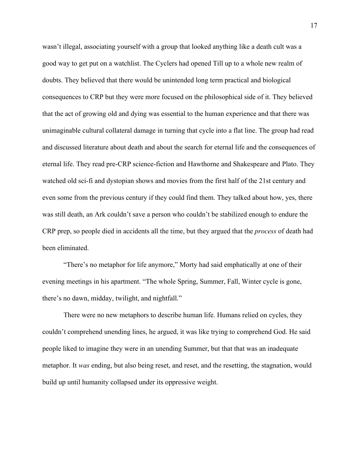wasn't illegal, associating yourself with a group that looked anything like a death cult was a good way to get put on a watchlist. The Cyclers had opened Till up to a whole new realm of doubts. They believed that there would be unintended long term practical and biological consequences to CRP but they were more focused on the philosophical side of it. They believed that the act of growing old and dying was essential to the human experience and that there was unimaginable cultural collateral damage in turning that cycle into a flat line. The group had read and discussed literature about death and about the search for eternal life and the consequences of eternal life. They read pre-CRP science-fiction and Hawthorne and Shakespeare and Plato. They watched old sci-fi and dystopian shows and movies from the first half of the 21st century and even some from the previous century if they could find them. They talked about how, yes, there was still death, an Ark couldn't save a person who couldn't be stabilized enough to endure the CRP prep, so people died in accidents all the time, but they argued that the *process* of death had been eliminated.

"There's no metaphor for life anymore," Morty had said emphatically at one of their evening meetings in his apartment. "The whole Spring, Summer, Fall, Winter cycle is gone, there's no dawn, midday, twilight, and nightfall."

There were no new metaphors to describe human life. Humans relied on cycles, they couldn't comprehend unending lines, he argued, it was like trying to comprehend God. He said people liked to imagine they were in an unending Summer, but that that was an inadequate metaphor. It *was* ending, but also being reset, and reset, and the resetting, the stagnation, would build up until humanity collapsed under its oppressive weight.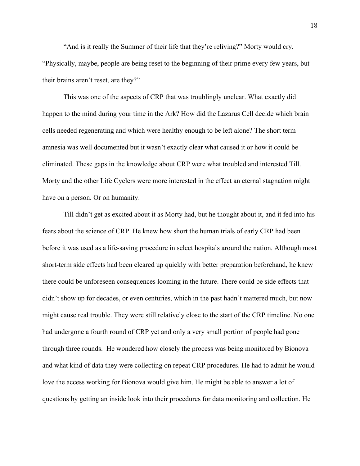"And is it really the Summer of their life that they're reliving?" Morty would cry. "Physically, maybe, people are being reset to the beginning of their prime every few years, but their brains aren't reset, are they?"

This was one of the aspects of CRP that was troublingly unclear. What exactly did happen to the mind during your time in the Ark? How did the Lazarus Cell decide which brain cells needed regenerating and which were healthy enough to be left alone? The short term amnesia was well documented but it wasn't exactly clear what caused it or how it could be eliminated. These gaps in the knowledge about CRP were what troubled and interested Till. Morty and the other Life Cyclers were more interested in the effect an eternal stagnation might have on a person. Or on humanity.

Till didn't get as excited about it as Morty had, but he thought about it, and it fed into his fears about the science of CRP. He knew how short the human trials of early CRP had been before it was used as a life-saving procedure in select hospitals around the nation. Although most short-term side effects had been cleared up quickly with better preparation beforehand, he knew there could be unforeseen consequences looming in the future. There could be side effects that didn't show up for decades, or even centuries, which in the past hadn't mattered much, but now might cause real trouble. They were still relatively close to the start of the CRP timeline. No one had undergone a fourth round of CRP yet and only a very small portion of people had gone through three rounds. He wondered how closely the process was being monitored by Bionova and what kind of data they were collecting on repeat CRP procedures. He had to admit he would love the access working for Bionova would give him. He might be able to answer a lot of questions by getting an inside look into their procedures for data monitoring and collection. He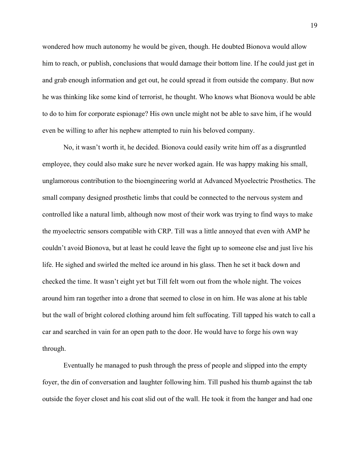wondered how much autonomy he would be given, though. He doubted Bionova would allow him to reach, or publish, conclusions that would damage their bottom line. If he could just get in and grab enough information and get out, he could spread it from outside the company. But now he was thinking like some kind of terrorist, he thought. Who knows what Bionova would be able to do to him for corporate espionage? His own uncle might not be able to save him, if he would even be willing to after his nephew attempted to ruin his beloved company.

No, it wasn't worth it, he decided. Bionova could easily write him off as a disgruntled employee, they could also make sure he never worked again. He was happy making his small, unglamorous contribution to the bioengineering world at Advanced Myoelectric Prosthetics. The small company designed prosthetic limbs that could be connected to the nervous system and controlled like a natural limb, although now most of their work was trying to find ways to make the myoelectric sensors compatible with CRP. Till was a little annoyed that even with AMP he couldn't avoid Bionova, but at least he could leave the fight up to someone else and just live his life. He sighed and swirled the melted ice around in his glass. Then he set it back down and checked the time. It wasn't eight yet but Till felt worn out from the whole night. The voices around him ran together into a drone that seemed to close in on him. He was alone at his table but the wall of bright colored clothing around him felt suffocating. Till tapped his watch to call a car and searched in vain for an open path to the door. He would have to forge his own way through.

Eventually he managed to push through the press of people and slipped into the empty foyer, the din of conversation and laughter following him. Till pushed his thumb against the tab outside the foyer closet and his coat slid out of the wall. He took it from the hanger and had one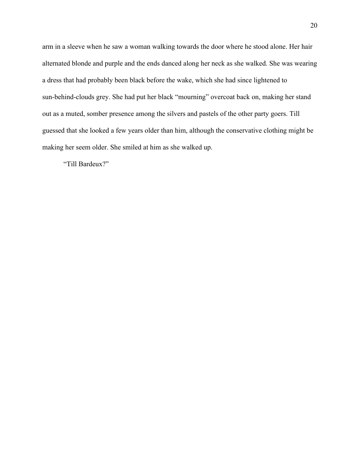arm in a sleeve when he saw a woman walking towards the door where he stood alone. Her hair alternated blonde and purple and the ends danced along her neck as she walked. She was wearing a dress that had probably been black before the wake, which she had since lightened to sun-behind-clouds grey. She had put her black "mourning" overcoat back on, making her stand out as a muted, somber presence among the silvers and pastels of the other party goers. Till guessed that she looked a few years older than him, although the conservative clothing might be making her seem older. She smiled at him as she walked up.

"Till Bardeux?"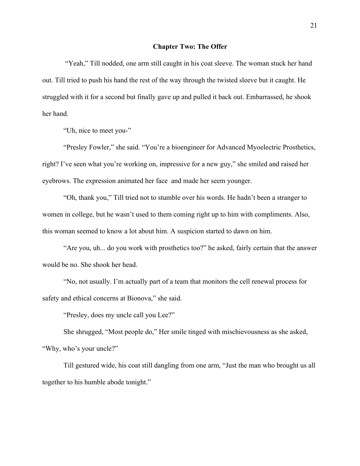## **Chapter Two: The Offer**

 "Yeah," Till nodded, one arm still caught in his coat sleeve. The woman stuck her hand out. Till tried to push his hand the rest of the way through the twisted sleeve but it caught. He struggled with it for a second but finally gave up and pulled it back out. Embarrassed, he shook her hand.

"Uh, nice to meet you-"

"Presley Fowler," she said. "You're a bioengineer for Advanced Myoelectric Prosthetics, right? I've seen what you're working on, impressive for a new guy," she smiled and raised her eyebrows. The expression animated her face and made her seem younger.

"Oh, thank you," Till tried not to stumble over his words. He hadn't been a stranger to women in college, but he wasn't used to them coming right up to him with compliments. Also, this woman seemed to know a lot about him. A suspicion started to dawn on him.

"Are you, uh... do you work with prosthetics too?" he asked, fairly certain that the answer would be no. She shook her head.

"No, not usually. I'm actually part of a team that monitors the cell renewal process for safety and ethical concerns at Bionova," she said.

"Presley, does my uncle call you Lee?"

She shrugged, "Most people do," Her smile tinged with mischievousness as she asked, "Why, who's your uncle?"

Till gestured wide, his coat still dangling from one arm, "Just the man who brought us all together to his humble abode tonight."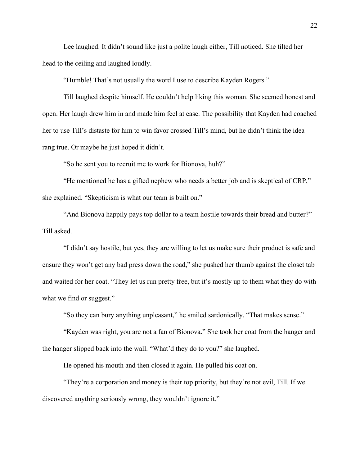Lee laughed. It didn't sound like just a polite laugh either, Till noticed. She tilted her head to the ceiling and laughed loudly.

"Humble! That's not usually the word I use to describe Kayden Rogers."

Till laughed despite himself. He couldn't help liking this woman. She seemed honest and open. Her laugh drew him in and made him feel at ease. The possibility that Kayden had coached her to use Till's distaste for him to win favor crossed Till's mind, but he didn't think the idea rang true. Or maybe he just hoped it didn't.

"So he sent you to recruit me to work for Bionova, huh?"

"He mentioned he has a gifted nephew who needs a better job and is skeptical of CRP," she explained. "Skepticism is what our team is built on."

"And Bionova happily pays top dollar to a team hostile towards their bread and butter?" Till asked.

"I didn't say hostile, but yes, they are willing to let us make sure their product is safe and ensure they won't get any bad press down the road," she pushed her thumb against the closet tab and waited for her coat. "They let us run pretty free, but it's mostly up to them what they do with what we find or suggest."

"So they can bury anything unpleasant," he smiled sardonically. "That makes sense."

"Kayden was right, you are not a fan of Bionova." She took her coat from the hanger and the hanger slipped back into the wall. "What'd they do to you?" she laughed.

He opened his mouth and then closed it again. He pulled his coat on.

"They're a corporation and money is their top priority, but they're not evil, Till. If we discovered anything seriously wrong, they wouldn't ignore it."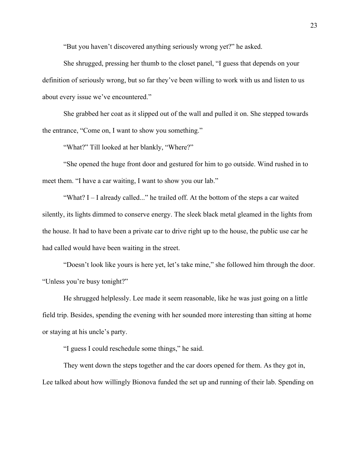"But you haven't discovered anything seriously wrong yet?" he asked.

She shrugged, pressing her thumb to the closet panel, "I guess that depends on your definition of seriously wrong, but so far they've been willing to work with us and listen to us about every issue we've encountered."

She grabbed her coat as it slipped out of the wall and pulled it on. She stepped towards the entrance, "Come on, I want to show you something."

"What?" Till looked at her blankly, "Where?"

"She opened the huge front door and gestured for him to go outside. Wind rushed in to meet them. "I have a car waiting, I want to show you our lab."

"What? I – I already called..." he trailed off. At the bottom of the steps a car waited silently, its lights dimmed to conserve energy. The sleek black metal gleamed in the lights from the house. It had to have been a private car to drive right up to the house, the public use car he had called would have been waiting in the street.

"Doesn't look like yours is here yet, let's take mine," she followed him through the door. "Unless you're busy tonight?"

He shrugged helplessly. Lee made it seem reasonable, like he was just going on a little field trip. Besides, spending the evening with her sounded more interesting than sitting at home or staying at his uncle's party.

"I guess I could reschedule some things," he said.

They went down the steps together and the car doors opened for them. As they got in, Lee talked about how willingly Bionova funded the set up and running of their lab. Spending on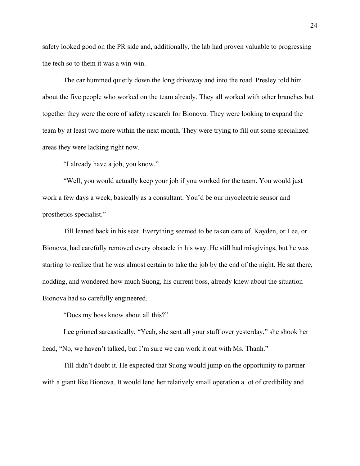safety looked good on the PR side and, additionally, the lab had proven valuable to progressing the tech so to them it was a win-win.

The car hummed quietly down the long driveway and into the road. Presley told him about the five people who worked on the team already. They all worked with other branches but together they were the core of safety research for Bionova. They were looking to expand the team by at least two more within the next month. They were trying to fill out some specialized areas they were lacking right now.

"I already have a job, you know."

"Well, you would actually keep your job if you worked for the team. You would just work a few days a week, basically as a consultant. You'd be our myoelectric sensor and prosthetics specialist."

Till leaned back in his seat. Everything seemed to be taken care of. Kayden, or Lee, or Bionova, had carefully removed every obstacle in his way. He still had misgivings, but he was starting to realize that he was almost certain to take the job by the end of the night. He sat there, nodding, and wondered how much Suong, his current boss, already knew about the situation Bionova had so carefully engineered.

"Does my boss know about all this?"

Lee grinned sarcastically, "Yeah, she sent all your stuff over yesterday," she shook her head, "No, we haven't talked, but I'm sure we can work it out with Ms. Thanh."

Till didn't doubt it. He expected that Suong would jump on the opportunity to partner with a giant like Bionova. It would lend her relatively small operation a lot of credibility and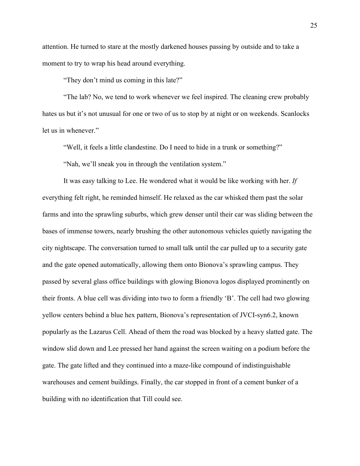attention. He turned to stare at the mostly darkened houses passing by outside and to take a moment to try to wrap his head around everything.

"They don't mind us coming in this late?"

"The lab? No, we tend to work whenever we feel inspired. The cleaning crew probably hates us but it's not unusual for one or two of us to stop by at night or on weekends. Scanlocks let us in whenever."

"Well, it feels a little clandestine. Do I need to hide in a trunk or something?"

"Nah, we'll sneak you in through the ventilation system."

It was easy talking to Lee. He wondered what it would be like working with her. *If* everything felt right, he reminded himself. He relaxed as the car whisked them past the solar farms and into the sprawling suburbs, which grew denser until their car was sliding between the bases of immense towers, nearly brushing the other autonomous vehicles quietly navigating the city nightscape. The conversation turned to small talk until the car pulled up to a security gate and the gate opened automatically, allowing them onto Bionova's sprawling campus. They passed by several glass office buildings with glowing Bionova logos displayed prominently on their fronts. A blue cell was dividing into two to form a friendly 'B'. The cell had two glowing yellow centers behind a blue hex pattern, Bionova's representation of JVCI-syn6.2, known popularly as the Lazarus Cell. Ahead of them the road was blocked by a heavy slatted gate. The window slid down and Lee pressed her hand against the screen waiting on a podium before the gate. The gate lifted and they continued into a maze-like compound of indistinguishable warehouses and cement buildings. Finally, the car stopped in front of a cement bunker of a building with no identification that Till could see.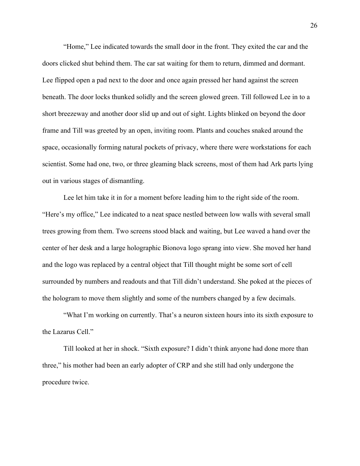"Home," Lee indicated towards the small door in the front. They exited the car and the doors clicked shut behind them. The car sat waiting for them to return, dimmed and dormant. Lee flipped open a pad next to the door and once again pressed her hand against the screen beneath. The door locks thunked solidly and the screen glowed green. Till followed Lee in to a short breezeway and another door slid up and out of sight. Lights blinked on beyond the door frame and Till was greeted by an open, inviting room. Plants and couches snaked around the space, occasionally forming natural pockets of privacy, where there were workstations for each scientist. Some had one, two, or three gleaming black screens, most of them had Ark parts lying out in various stages of dismantling.

Lee let him take it in for a moment before leading him to the right side of the room. "Here's my office," Lee indicated to a neat space nestled between low walls with several small trees growing from them. Two screens stood black and waiting, but Lee waved a hand over the center of her desk and a large holographic Bionova logo sprang into view. She moved her hand and the logo was replaced by a central object that Till thought might be some sort of cell surrounded by numbers and readouts and that Till didn't understand. She poked at the pieces of the hologram to move them slightly and some of the numbers changed by a few decimals.

"What I'm working on currently. That's a neuron sixteen hours into its sixth exposure to the Lazarus Cell."

Till looked at her in shock. "Sixth exposure? I didn't think anyone had done more than three," his mother had been an early adopter of CRP and she still had only undergone the procedure twice.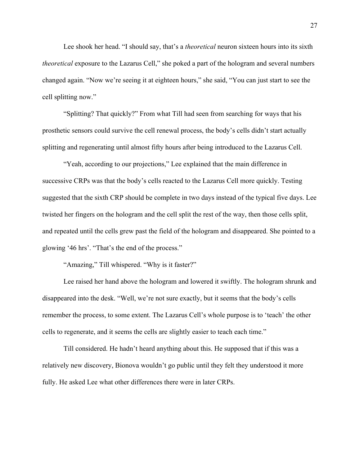Lee shook her head. "I should say, that's a *theoretical* neuron sixteen hours into its sixth *theoretical* exposure to the Lazarus Cell," she poked a part of the hologram and several numbers changed again. "Now we're seeing it at eighteen hours," she said, "You can just start to see the cell splitting now."

"Splitting? That quickly?" From what Till had seen from searching for ways that his prosthetic sensors could survive the cell renewal process, the body's cells didn't start actually splitting and regenerating until almost fifty hours after being introduced to the Lazarus Cell.

"Yeah, according to our projections," Lee explained that the main difference in successive CRPs was that the body's cells reacted to the Lazarus Cell more quickly. Testing suggested that the sixth CRP should be complete in two days instead of the typical five days. Lee twisted her fingers on the hologram and the cell split the rest of the way, then those cells split, and repeated until the cells grew past the field of the hologram and disappeared. She pointed to a glowing '46 hrs'. "That's the end of the process."

"Amazing," Till whispered. "Why is it faster?"

Lee raised her hand above the hologram and lowered it swiftly. The hologram shrunk and disappeared into the desk. "Well, we're not sure exactly, but it seems that the body's cells remember the process, to some extent. The Lazarus Cell's whole purpose is to 'teach' the other cells to regenerate, and it seems the cells are slightly easier to teach each time."

Till considered. He hadn't heard anything about this. He supposed that if this was a relatively new discovery, Bionova wouldn't go public until they felt they understood it more fully. He asked Lee what other differences there were in later CRPs.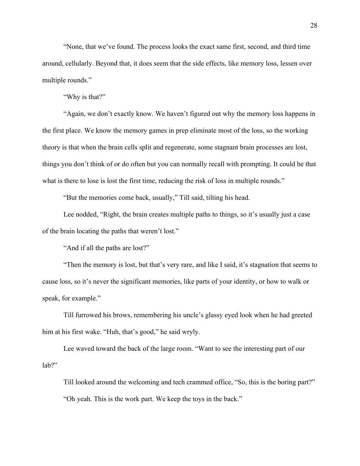"None, that we've found. The process looks the exact same first, second, and third time around, cellularly. Beyond that, it does seem that the side effects, like memory loss, lessen over multiple rounds."

"Why is that?"

"Again, we don't exactly know. We haven't figured out why the memory loss happens in the first place. We know the memory games in prep eliminate most of the loss, so the working theory is that when the brain cells split and regenerate, some stagnant brain processes are lost, things you don't think of or do often but you can normally recall with prompting. It could be that what is there to lose is lost the first time, reducing the risk of loss in multiple rounds."

"But the memories come back, usually," Till said, tilting his head.

Lee nodded, "Right, the brain creates multiple paths to things, so it's usually just a case of the brain locating the paths that weren't lost."

"And if all the paths are lost?"

"Then the memory is lost, but that's very rare, and like I said, it's stagnation that seems to cause loss, so it's never the significant memories, like parts of your identity, or how to walk or speak, for example."

Till furrowed his brows, remembering his uncle's glassy eyed look when he had greeted him at his first wake. "Huh, that's good," he said wryly.

Lee waved toward the back of the large room. "Want to see the interesting part of our lab?"

Till looked around the welcoming and tech crammed office, "So, this is the boring part?" "Oh yeah. This is the work part. We keep the toys in the back."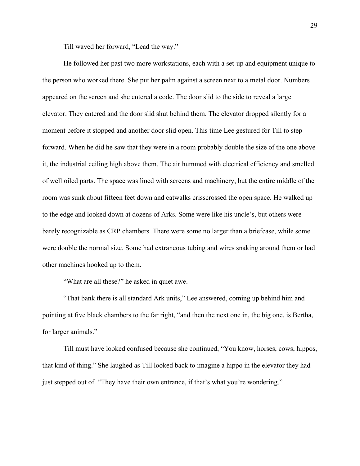Till waved her forward, "Lead the way."

He followed her past two more workstations, each with a set-up and equipment unique to the person who worked there. She put her palm against a screen next to a metal door. Numbers appeared on the screen and she entered a code. The door slid to the side to reveal a large elevator. They entered and the door slid shut behind them. The elevator dropped silently for a moment before it stopped and another door slid open. This time Lee gestured for Till to step forward. When he did he saw that they were in a room probably double the size of the one above it, the industrial ceiling high above them. The air hummed with electrical efficiency and smelled of well oiled parts. The space was lined with screens and machinery, but the entire middle of the room was sunk about fifteen feet down and catwalks crisscrossed the open space. He walked up to the edge and looked down at dozens of Arks. Some were like his uncle's, but others were barely recognizable as CRP chambers. There were some no larger than a briefcase, while some were double the normal size. Some had extraneous tubing and wires snaking around them or had other machines hooked up to them.

"What are all these?" he asked in quiet awe.

"That bank there is all standard Ark units," Lee answered, coming up behind him and pointing at five black chambers to the far right, "and then the next one in, the big one, is Bertha, for larger animals."

Till must have looked confused because she continued, "You know, horses, cows, hippos, that kind of thing." She laughed as Till looked back to imagine a hippo in the elevator they had just stepped out of. "They have their own entrance, if that's what you're wondering."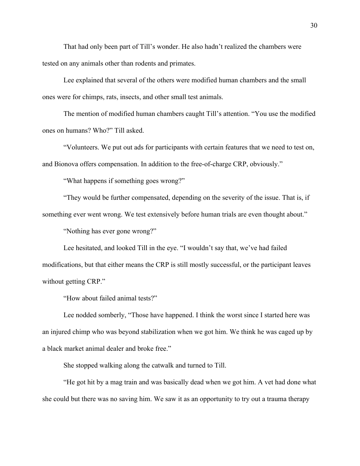That had only been part of Till's wonder. He also hadn't realized the chambers were tested on any animals other than rodents and primates.

Lee explained that several of the others were modified human chambers and the small ones were for chimps, rats, insects, and other small test animals.

The mention of modified human chambers caught Till's attention. "You use the modified ones on humans? Who?" Till asked.

"Volunteers. We put out ads for participants with certain features that we need to test on, and Bionova offers compensation. In addition to the free-of-charge CRP, obviously."

"What happens if something goes wrong?"

"They would be further compensated, depending on the severity of the issue. That is, if something ever went wrong. We test extensively before human trials are even thought about."

"Nothing has ever gone wrong?"

Lee hesitated, and looked Till in the eye. "I wouldn't say that, we've had failed modifications, but that either means the CRP is still mostly successful, or the participant leaves without getting CRP."

"How about failed animal tests?"

Lee nodded somberly, "Those have happened. I think the worst since I started here was an injured chimp who was beyond stabilization when we got him. We think he was caged up by a black market animal dealer and broke free."

She stopped walking along the catwalk and turned to Till.

"He got hit by a mag train and was basically dead when we got him. A vet had done what she could but there was no saving him. We saw it as an opportunity to try out a trauma therapy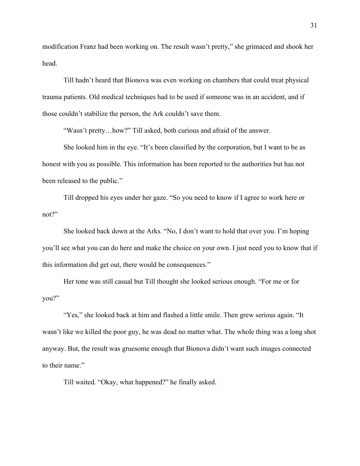modification Franz had been working on. The result wasn't pretty," she grimaced and shook her head.

Till hadn't heard that Bionova was even working on chambers that could treat physical trauma patients. Old medical techniques had to be used if someone was in an accident, and if those couldn't stabilize the person, the Ark couldn't save them.

"Wasn't pretty…how?" Till asked, both curious and afraid of the answer.

She looked him in the eye. "It's been classified by the corporation, but I want to be as honest with you as possible. This information has been reported to the authorities but has not been released to the public."

Till dropped his eyes under her gaze. "So you need to know if I agree to work here or not?"

She looked back down at the Arks. "No, I don't want to hold that over you. I'm hoping you'll see what you can do here and make the choice on your own. I just need you to know that if this information did get out, there would be consequences."

Her tone was still casual but Till thought she looked serious enough. "For me or for you?"

"Yes," she looked back at him and flashed a little smile. Then grew serious again. "It wasn't like we killed the poor guy, he was dead no matter what. The whole thing was a long shot anyway. But, the result was gruesome enough that Bionova didn't want such images connected to their name."

Till waited. "Okay, what happened?" he finally asked.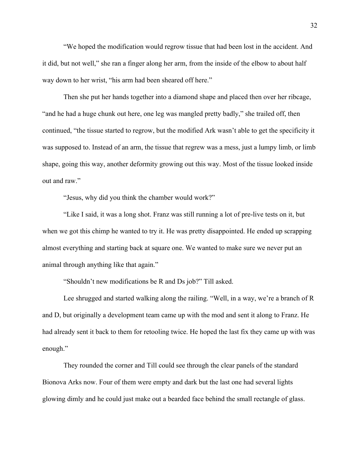"We hoped the modification would regrow tissue that had been lost in the accident. And it did, but not well," she ran a finger along her arm, from the inside of the elbow to about half way down to her wrist, "his arm had been sheared off here."

Then she put her hands together into a diamond shape and placed then over her ribcage, "and he had a huge chunk out here, one leg was mangled pretty badly," she trailed off, then continued, "the tissue started to regrow, but the modified Ark wasn't able to get the specificity it was supposed to. Instead of an arm, the tissue that regrew was a mess, just a lumpy limb, or limb shape, going this way, another deformity growing out this way. Most of the tissue looked inside out and raw."

"Jesus, why did you think the chamber would work?"

"Like I said, it was a long shot. Franz was still running a lot of pre-live tests on it, but when we got this chimp he wanted to try it. He was pretty disappointed. He ended up scrapping almost everything and starting back at square one. We wanted to make sure we never put an animal through anything like that again."

"Shouldn't new modifications be R and Ds job?" Till asked.

Lee shrugged and started walking along the railing. "Well, in a way, we're a branch of R and D, but originally a development team came up with the mod and sent it along to Franz. He had already sent it back to them for retooling twice. He hoped the last fix they came up with was enough."

They rounded the corner and Till could see through the clear panels of the standard Bionova Arks now. Four of them were empty and dark but the last one had several lights glowing dimly and he could just make out a bearded face behind the small rectangle of glass.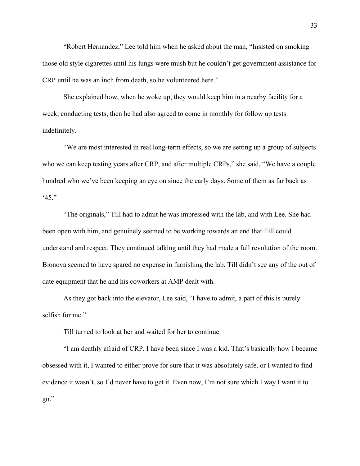"Robert Hernandez," Lee told him when he asked about the man, "Insisted on smoking those old style cigarettes until his lungs were mush but he couldn't get government assistance for CRP until he was an inch from death, so he volunteered here."

She explained how, when he woke up, they would keep him in a nearby facility for a week, conducting tests, then he had also agreed to come in monthly for follow up tests indefinitely.

"We are most interested in real long-term effects, so we are setting up a group of subjects who we can keep testing years after CRP, and after multiple CRPs," she said, "We have a couple hundred who we've been keeping an eye on since the early days. Some of them as far back as '45."

"The originals," Till had to admit he was impressed with the lab, and with Lee. She had been open with him, and genuinely seemed to be working towards an end that Till could understand and respect. They continued talking until they had made a full revolution of the room. Bionova seemed to have spared no expense in furnishing the lab. Till didn't see any of the out of date equipment that he and his coworkers at AMP dealt with.

As they got back into the elevator, Lee said, "I have to admit, a part of this is purely selfish for me."

Till turned to look at her and waited for her to continue.

"I am deathly afraid of CRP. I have been since I was a kid. That's basically how I became obsessed with it, I wanted to either prove for sure that it was absolutely safe, or I wanted to find evidence it wasn't, so I'd never have to get it. Even now, I'm not sure which I way I want it to go."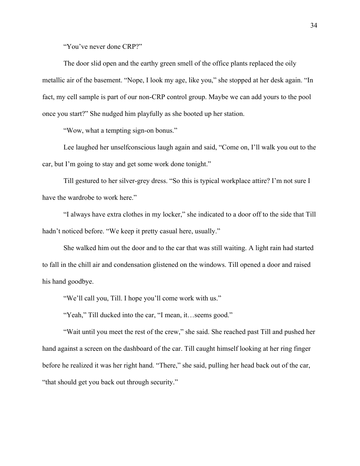"You've never done CRP?"

The door slid open and the earthy green smell of the office plants replaced the oily metallic air of the basement. "Nope, I look my age, like you," she stopped at her desk again. "In fact, my cell sample is part of our non-CRP control group. Maybe we can add yours to the pool once you start?" She nudged him playfully as she booted up her station.

"Wow, what a tempting sign-on bonus."

Lee laughed her unselfconscious laugh again and said, "Come on, I'll walk you out to the car, but I'm going to stay and get some work done tonight."

Till gestured to her silver-grey dress. "So this is typical workplace attire? I'm not sure I have the wardrobe to work here."

"I always have extra clothes in my locker," she indicated to a door off to the side that Till hadn't noticed before. "We keep it pretty casual here, usually."

She walked him out the door and to the car that was still waiting. A light rain had started to fall in the chill air and condensation glistened on the windows. Till opened a door and raised his hand goodbye.

"We'll call you, Till. I hope you'll come work with us."

"Yeah," Till ducked into the car, "I mean, it…seems good."

"Wait until you meet the rest of the crew," she said. She reached past Till and pushed her hand against a screen on the dashboard of the car. Till caught himself looking at her ring finger before he realized it was her right hand. "There," she said, pulling her head back out of the car, "that should get you back out through security."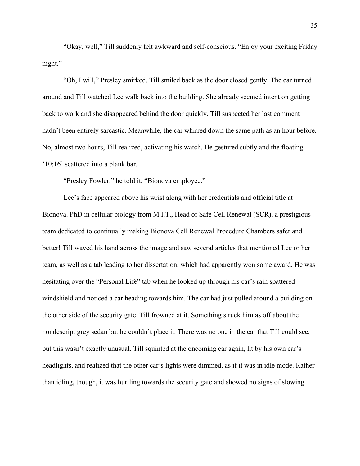"Okay, well," Till suddenly felt awkward and self-conscious. "Enjoy your exciting Friday night."

"Oh, I will," Presley smirked. Till smiled back as the door closed gently. The car turned around and Till watched Lee walk back into the building. She already seemed intent on getting back to work and she disappeared behind the door quickly. Till suspected her last comment hadn't been entirely sarcastic. Meanwhile, the car whirred down the same path as an hour before. No, almost two hours, Till realized, activating his watch. He gestured subtly and the floating '10:16' scattered into a blank bar.

"Presley Fowler," he told it, "Bionova employee."

Lee's face appeared above his wrist along with her credentials and official title at Bionova. PhD in cellular biology from M.I.T., Head of Safe Cell Renewal (SCR), a prestigious team dedicated to continually making Bionova Cell Renewal Procedure Chambers safer and better! Till waved his hand across the image and saw several articles that mentioned Lee or her team, as well as a tab leading to her dissertation, which had apparently won some award. He was hesitating over the "Personal Life" tab when he looked up through his car's rain spattered windshield and noticed a car heading towards him. The car had just pulled around a building on the other side of the security gate. Till frowned at it. Something struck him as off about the nondescript grey sedan but he couldn't place it. There was no one in the car that Till could see, but this wasn't exactly unusual. Till squinted at the oncoming car again, lit by his own car's headlights, and realized that the other car's lights were dimmed, as if it was in idle mode. Rather than idling, though, it was hurtling towards the security gate and showed no signs of slowing.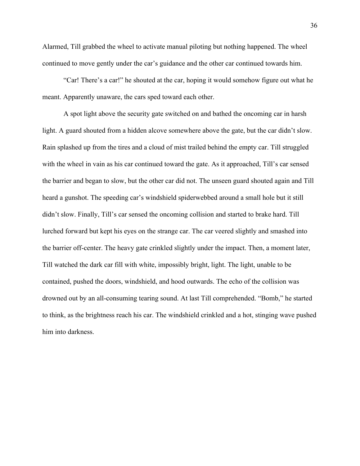Alarmed, Till grabbed the wheel to activate manual piloting but nothing happened. The wheel continued to move gently under the car's guidance and the other car continued towards him.

"Car! There's a car!" he shouted at the car, hoping it would somehow figure out what he meant. Apparently unaware, the cars sped toward each other.

A spot light above the security gate switched on and bathed the oncoming car in harsh light. A guard shouted from a hidden alcove somewhere above the gate, but the car didn't slow. Rain splashed up from the tires and a cloud of mist trailed behind the empty car. Till struggled with the wheel in vain as his car continued toward the gate. As it approached, Till's car sensed the barrier and began to slow, but the other car did not. The unseen guard shouted again and Till heard a gunshot. The speeding car's windshield spiderwebbed around a small hole but it still didn't slow. Finally, Till's car sensed the oncoming collision and started to brake hard. Till lurched forward but kept his eyes on the strange car. The car veered slightly and smashed into the barrier off-center. The heavy gate crinkled slightly under the impact. Then, a moment later, Till watched the dark car fill with white, impossibly bright, light. The light, unable to be contained, pushed the doors, windshield, and hood outwards. The echo of the collision was drowned out by an all-consuming tearing sound. At last Till comprehended. "Bomb," he started to think, as the brightness reach his car. The windshield crinkled and a hot, stinging wave pushed him into darkness.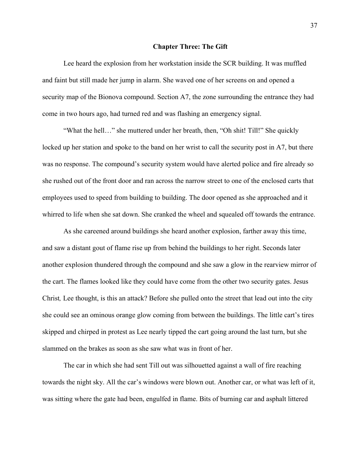#### **Chapter Three: The Gift**

Lee heard the explosion from her workstation inside the SCR building. It was muffled and faint but still made her jump in alarm. She waved one of her screens on and opened a security map of the Bionova compound. Section A7, the zone surrounding the entrance they had come in two hours ago, had turned red and was flashing an emergency signal.

"What the hell…" she muttered under her breath, then, "Oh shit! Till!" She quickly locked up her station and spoke to the band on her wrist to call the security post in A7, but there was no response. The compound's security system would have alerted police and fire already so she rushed out of the front door and ran across the narrow street to one of the enclosed carts that employees used to speed from building to building. The door opened as she approached and it whirred to life when she sat down. She cranked the wheel and squealed off towards the entrance.

As she careened around buildings she heard another explosion, farther away this time, and saw a distant gout of flame rise up from behind the buildings to her right. Seconds later another explosion thundered through the compound and she saw a glow in the rearview mirror of the cart. The flames looked like they could have come from the other two security gates. Jesus Christ*,* Lee thought, is this an attack? Before she pulled onto the street that lead out into the city she could see an ominous orange glow coming from between the buildings. The little cart's tires skipped and chirped in protest as Lee nearly tipped the cart going around the last turn, but she slammed on the brakes as soon as she saw what was in front of her.

The car in which she had sent Till out was silhouetted against a wall of fire reaching towards the night sky. All the car's windows were blown out. Another car, or what was left of it, was sitting where the gate had been, engulfed in flame. Bits of burning car and asphalt littered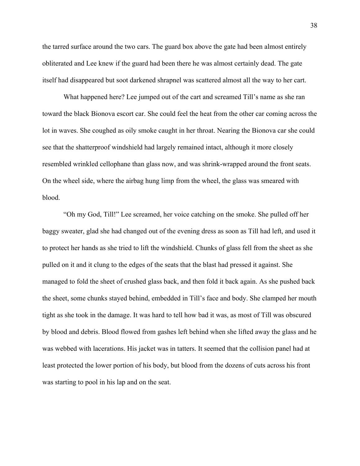the tarred surface around the two cars. The guard box above the gate had been almost entirely obliterated and Lee knew if the guard had been there he was almost certainly dead. The gate itself had disappeared but soot darkened shrapnel was scattered almost all the way to her cart.

What happened here? Lee jumped out of the cart and screamed Till's name as she ran toward the black Bionova escort car. She could feel the heat from the other car coming across the lot in waves. She coughed as oily smoke caught in her throat. Nearing the Bionova car she could see that the shatterproof windshield had largely remained intact, although it more closely resembled wrinkled cellophane than glass now, and was shrink-wrapped around the front seats. On the wheel side, where the airbag hung limp from the wheel, the glass was smeared with blood.

"Oh my God, Till!" Lee screamed, her voice catching on the smoke. She pulled off her baggy sweater, glad she had changed out of the evening dress as soon as Till had left, and used it to protect her hands as she tried to lift the windshield. Chunks of glass fell from the sheet as she pulled on it and it clung to the edges of the seats that the blast had pressed it against. She managed to fold the sheet of crushed glass back, and then fold it back again. As she pushed back the sheet, some chunks stayed behind, embedded in Till's face and body. She clamped her mouth tight as she took in the damage. It was hard to tell how bad it was, as most of Till was obscured by blood and debris. Blood flowed from gashes left behind when she lifted away the glass and he was webbed with lacerations. His jacket was in tatters. It seemed that the collision panel had at least protected the lower portion of his body, but blood from the dozens of cuts across his front was starting to pool in his lap and on the seat.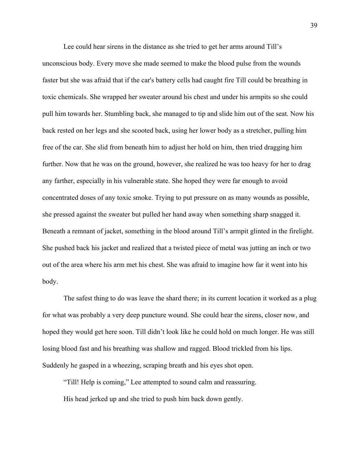Lee could hear sirens in the distance as she tried to get her arms around Till's unconscious body. Every move she made seemed to make the blood pulse from the wounds faster but she was afraid that if the car's battery cells had caught fire Till could be breathing in toxic chemicals. She wrapped her sweater around his chest and under his armpits so she could pull him towards her. Stumbling back, she managed to tip and slide him out of the seat. Now his back rested on her legs and she scooted back, using her lower body as a stretcher, pulling him free of the car. She slid from beneath him to adjust her hold on him, then tried dragging him further. Now that he was on the ground, however, she realized he was too heavy for her to drag any farther, especially in his vulnerable state. She hoped they were far enough to avoid concentrated doses of any toxic smoke. Trying to put pressure on as many wounds as possible, she pressed against the sweater but pulled her hand away when something sharp snagged it. Beneath a remnant of jacket, something in the blood around Till's armpit glinted in the firelight. She pushed back his jacket and realized that a twisted piece of metal was jutting an inch or two out of the area where his arm met his chest. She was afraid to imagine how far it went into his body.

The safest thing to do was leave the shard there; in its current location it worked as a plug for what was probably a very deep puncture wound. She could hear the sirens, closer now, and hoped they would get here soon. Till didn't look like he could hold on much longer. He was still losing blood fast and his breathing was shallow and ragged. Blood trickled from his lips. Suddenly he gasped in a wheezing, scraping breath and his eyes shot open.

"Till! Help is coming," Lee attempted to sound calm and reassuring. His head jerked up and she tried to push him back down gently.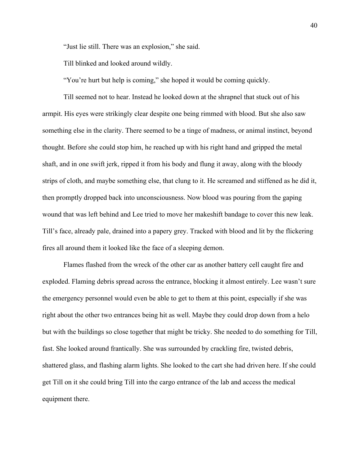"Just lie still. There was an explosion," she said.

Till blinked and looked around wildly.

"You're hurt but help is coming," she hoped it would be coming quickly.

Till seemed not to hear. Instead he looked down at the shrapnel that stuck out of his armpit. His eyes were strikingly clear despite one being rimmed with blood. But she also saw something else in the clarity. There seemed to be a tinge of madness, or animal instinct, beyond thought. Before she could stop him, he reached up with his right hand and gripped the metal shaft, and in one swift jerk, ripped it from his body and flung it away, along with the bloody strips of cloth, and maybe something else, that clung to it. He screamed and stiffened as he did it, then promptly dropped back into unconsciousness. Now blood was pouring from the gaping wound that was left behind and Lee tried to move her makeshift bandage to cover this new leak. Till's face, already pale, drained into a papery grey. Tracked with blood and lit by the flickering fires all around them it looked like the face of a sleeping demon.

Flames flashed from the wreck of the other car as another battery cell caught fire and exploded. Flaming debris spread across the entrance, blocking it almost entirely. Lee wasn't sure the emergency personnel would even be able to get to them at this point, especially if she was right about the other two entrances being hit as well. Maybe they could drop down from a helo but with the buildings so close together that might be tricky. She needed to do something for Till, fast. She looked around frantically. She was surrounded by crackling fire, twisted debris, shattered glass, and flashing alarm lights. She looked to the cart she had driven here. If she could get Till on it she could bring Till into the cargo entrance of the lab and access the medical equipment there.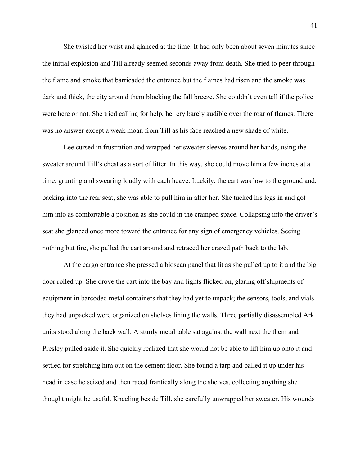She twisted her wrist and glanced at the time. It had only been about seven minutes since the initial explosion and Till already seemed seconds away from death. She tried to peer through the flame and smoke that barricaded the entrance but the flames had risen and the smoke was dark and thick, the city around them blocking the fall breeze. She couldn't even tell if the police were here or not. She tried calling for help, her cry barely audible over the roar of flames. There was no answer except a weak moan from Till as his face reached a new shade of white.

Lee cursed in frustration and wrapped her sweater sleeves around her hands, using the sweater around Till's chest as a sort of litter. In this way, she could move him a few inches at a time, grunting and swearing loudly with each heave. Luckily, the cart was low to the ground and, backing into the rear seat, she was able to pull him in after her. She tucked his legs in and got him into as comfortable a position as she could in the cramped space. Collapsing into the driver's seat she glanced once more toward the entrance for any sign of emergency vehicles. Seeing nothing but fire, she pulled the cart around and retraced her crazed path back to the lab.

At the cargo entrance she pressed a bioscan panel that lit as she pulled up to it and the big door rolled up. She drove the cart into the bay and lights flicked on, glaring off shipments of equipment in barcoded metal containers that they had yet to unpack; the sensors, tools, and vials they had unpacked were organized on shelves lining the walls. Three partially disassembled Ark units stood along the back wall. A sturdy metal table sat against the wall next the them and Presley pulled aside it. She quickly realized that she would not be able to lift him up onto it and settled for stretching him out on the cement floor. She found a tarp and balled it up under his head in case he seized and then raced frantically along the shelves, collecting anything she thought might be useful. Kneeling beside Till, she carefully unwrapped her sweater. His wounds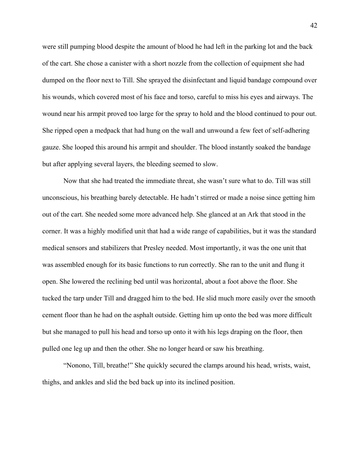were still pumping blood despite the amount of blood he had left in the parking lot and the back of the cart. She chose a canister with a short nozzle from the collection of equipment she had dumped on the floor next to Till. She sprayed the disinfectant and liquid bandage compound over his wounds, which covered most of his face and torso, careful to miss his eyes and airways. The wound near his armpit proved too large for the spray to hold and the blood continued to pour out. She ripped open a medpack that had hung on the wall and unwound a few feet of self-adhering gauze. She looped this around his armpit and shoulder. The blood instantly soaked the bandage but after applying several layers, the bleeding seemed to slow.

Now that she had treated the immediate threat, she wasn't sure what to do. Till was still unconscious, his breathing barely detectable. He hadn't stirred or made a noise since getting him out of the cart. She needed some more advanced help. She glanced at an Ark that stood in the corner. It was a highly modified unit that had a wide range of capabilities, but it was the standard medical sensors and stabilizers that Presley needed. Most importantly, it was the one unit that was assembled enough for its basic functions to run correctly. She ran to the unit and flung it open. She lowered the reclining bed until was horizontal, about a foot above the floor. She tucked the tarp under Till and dragged him to the bed. He slid much more easily over the smooth cement floor than he had on the asphalt outside. Getting him up onto the bed was more difficult but she managed to pull his head and torso up onto it with his legs draping on the floor, then pulled one leg up and then the other. She no longer heard or saw his breathing.

"Nonono, Till, breathe!" She quickly secured the clamps around his head, wrists, waist, thighs, and ankles and slid the bed back up into its inclined position.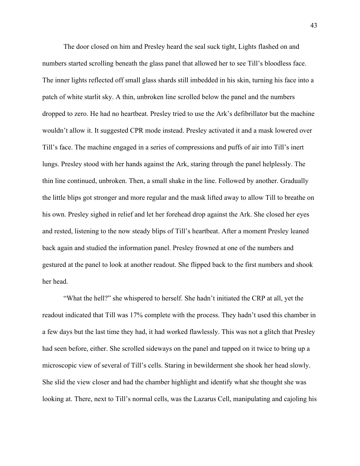The door closed on him and Presley heard the seal suck tight, Lights flashed on and numbers started scrolling beneath the glass panel that allowed her to see Till's bloodless face. The inner lights reflected off small glass shards still imbedded in his skin, turning his face into a patch of white starlit sky. A thin, unbroken line scrolled below the panel and the numbers dropped to zero. He had no heartbeat. Presley tried to use the Ark's defibrillator but the machine wouldn't allow it. It suggested CPR mode instead. Presley activated it and a mask lowered over Till's face. The machine engaged in a series of compressions and puffs of air into Till's inert lungs. Presley stood with her hands against the Ark, staring through the panel helplessly. The thin line continued, unbroken. Then, a small shake in the line. Followed by another. Gradually the little blips got stronger and more regular and the mask lifted away to allow Till to breathe on his own. Presley sighed in relief and let her forehead drop against the Ark. She closed her eyes and rested, listening to the now steady blips of Till's heartbeat. After a moment Presley leaned back again and studied the information panel. Presley frowned at one of the numbers and gestured at the panel to look at another readout. She flipped back to the first numbers and shook her head.

"What the hell?" she whispered to herself. She hadn't initiated the CRP at all, yet the readout indicated that Till was 17% complete with the process. They hadn't used this chamber in a few days but the last time they had, it had worked flawlessly. This was not a glitch that Presley had seen before, either. She scrolled sideways on the panel and tapped on it twice to bring up a microscopic view of several of Till's cells. Staring in bewilderment she shook her head slowly. She slid the view closer and had the chamber highlight and identify what she thought she was looking at. There, next to Till's normal cells, was the Lazarus Cell, manipulating and cajoling his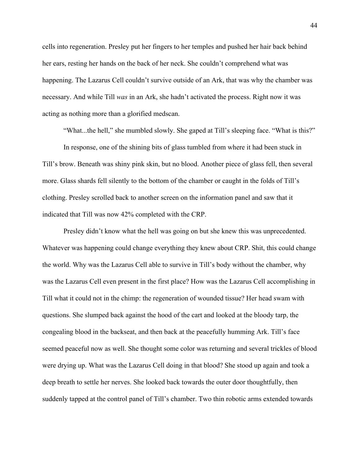cells into regeneration. Presley put her fingers to her temples and pushed her hair back behind her ears, resting her hands on the back of her neck. She couldn't comprehend what was happening. The Lazarus Cell couldn't survive outside of an Ark, that was why the chamber was necessary. And while Till *was* in an Ark, she hadn't activated the process. Right now it was acting as nothing more than a glorified medscan.

"What...the hell," she mumbled slowly. She gaped at Till's sleeping face. "What is this?"

In response, one of the shining bits of glass tumbled from where it had been stuck in Till's brow. Beneath was shiny pink skin, but no blood. Another piece of glass fell, then several more. Glass shards fell silently to the bottom of the chamber or caught in the folds of Till's clothing. Presley scrolled back to another screen on the information panel and saw that it indicated that Till was now 42% completed with the CRP.

Presley didn't know what the hell was going on but she knew this was unprecedented. Whatever was happening could change everything they knew about CRP. Shit, this could change the world. Why was the Lazarus Cell able to survive in Till's body without the chamber, why was the Lazarus Cell even present in the first place? How was the Lazarus Cell accomplishing in Till what it could not in the chimp: the regeneration of wounded tissue? Her head swam with questions. She slumped back against the hood of the cart and looked at the bloody tarp, the congealing blood in the backseat, and then back at the peacefully humming Ark. Till's face seemed peaceful now as well. She thought some color was returning and several trickles of blood were drying up. What was the Lazarus Cell doing in that blood? She stood up again and took a deep breath to settle her nerves. She looked back towards the outer door thoughtfully, then suddenly tapped at the control panel of Till's chamber. Two thin robotic arms extended towards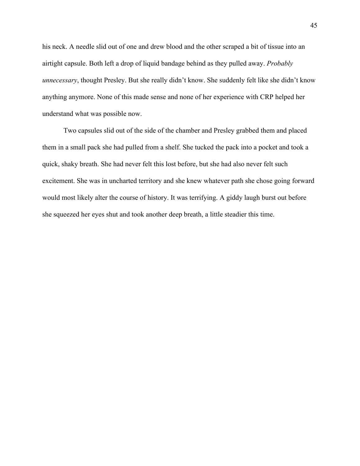his neck. A needle slid out of one and drew blood and the other scraped a bit of tissue into an airtight capsule. Both left a drop of liquid bandage behind as they pulled away. *Probably unnecessary*, thought Presley. But she really didn't know. She suddenly felt like she didn't know anything anymore. None of this made sense and none of her experience with CRP helped her understand what was possible now.

Two capsules slid out of the side of the chamber and Presley grabbed them and placed them in a small pack she had pulled from a shelf. She tucked the pack into a pocket and took a quick, shaky breath. She had never felt this lost before, but she had also never felt such excitement. She was in uncharted territory and she knew whatever path she chose going forward would most likely alter the course of history. It was terrifying. A giddy laugh burst out before she squeezed her eyes shut and took another deep breath, a little steadier this time.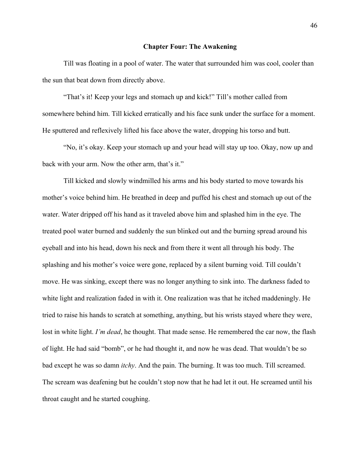# **Chapter Four: The Awakening**

Till was floating in a pool of water. The water that surrounded him was cool, cooler than the sun that beat down from directly above.

"That's it! Keep your legs and stomach up and kick!" Till's mother called from somewhere behind him. Till kicked erratically and his face sunk under the surface for a moment. He sputtered and reflexively lifted his face above the water, dropping his torso and butt.

"No, it's okay. Keep your stomach up and your head will stay up too. Okay, now up and back with your arm. Now the other arm, that's it."

Till kicked and slowly windmilled his arms and his body started to move towards his mother's voice behind him. He breathed in deep and puffed his chest and stomach up out of the water. Water dripped off his hand as it traveled above him and splashed him in the eye. The treated pool water burned and suddenly the sun blinked out and the burning spread around his eyeball and into his head, down his neck and from there it went all through his body. The splashing and his mother's voice were gone, replaced by a silent burning void. Till couldn't move. He was sinking, except there was no longer anything to sink into. The darkness faded to white light and realization faded in with it. One realization was that he itched maddeningly. He tried to raise his hands to scratch at something, anything, but his wrists stayed where they were, lost in white light. *I'm dead*, he thought. That made sense. He remembered the car now, the flash of light. He had said "bomb", or he had thought it, and now he was dead. That wouldn't be so bad except he was so damn *itchy*. And the pain. The burning. It was too much. Till screamed. The scream was deafening but he couldn't stop now that he had let it out. He screamed until his throat caught and he started coughing.

46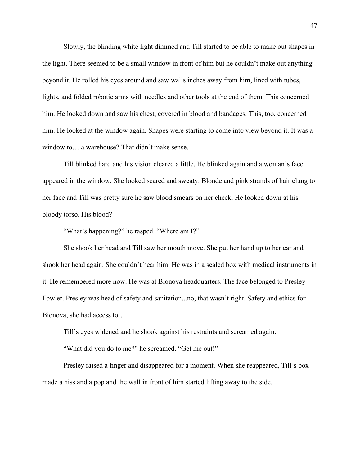Slowly, the blinding white light dimmed and Till started to be able to make out shapes in the light. There seemed to be a small window in front of him but he couldn't make out anything beyond it. He rolled his eyes around and saw walls inches away from him, lined with tubes, lights, and folded robotic arms with needles and other tools at the end of them. This concerned him. He looked down and saw his chest, covered in blood and bandages. This, too, concerned him. He looked at the window again. Shapes were starting to come into view beyond it. It was a window to… a warehouse? That didn't make sense.

Till blinked hard and his vision cleared a little. He blinked again and a woman's face appeared in the window. She looked scared and sweaty. Blonde and pink strands of hair clung to her face and Till was pretty sure he saw blood smears on her cheek. He looked down at his bloody torso. His blood?

"What's happening?" he rasped. "Where am I?"

She shook her head and Till saw her mouth move. She put her hand up to her ear and shook her head again. She couldn't hear him. He was in a sealed box with medical instruments in it. He remembered more now. He was at Bionova headquarters. The face belonged to Presley Fowler. Presley was head of safety and sanitation...no, that wasn't right. Safety and ethics for Bionova, she had access to…

Till's eyes widened and he shook against his restraints and screamed again.

"What did you do to me?" he screamed. "Get me out!"

Presley raised a finger and disappeared for a moment. When she reappeared, Till's box made a hiss and a pop and the wall in front of him started lifting away to the side.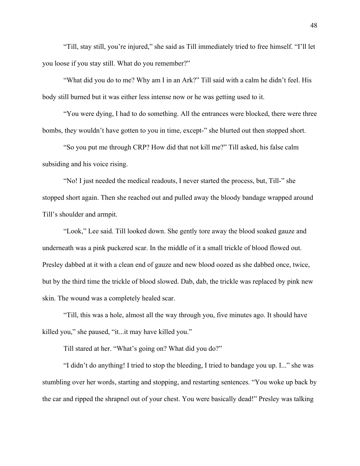"Till, stay still, you're injured," she said as Till immediately tried to free himself. "I'll let you loose if you stay still. What do you remember?"

"What did you do to me? Why am I in an Ark?" Till said with a calm he didn't feel. His body still burned but it was either less intense now or he was getting used to it.

"You were dying, I had to do something. All the entrances were blocked, there were three bombs, they wouldn't have gotten to you in time, except-" she blurted out then stopped short.

"So you put me through CRP? How did that not kill me?" Till asked, his false calm subsiding and his voice rising.

"No! I just needed the medical readouts, I never started the process, but, Till-" she stopped short again. Then she reached out and pulled away the bloody bandage wrapped around Till's shoulder and armpit.

"Look," Lee said. Till looked down. She gently tore away the blood soaked gauze and underneath was a pink puckered scar. In the middle of it a small trickle of blood flowed out. Presley dabbed at it with a clean end of gauze and new blood oozed as she dabbed once, twice, but by the third time the trickle of blood slowed. Dab, dab, the trickle was replaced by pink new skin. The wound was a completely healed scar.

"Till, this was a hole, almost all the way through you, five minutes ago. It should have killed you," she paused, "it...it may have killed you."

Till stared at her. "What's going on? What did you do?"

"I didn't do anything! I tried to stop the bleeding, I tried to bandage you up. I..." she was stumbling over her words, starting and stopping, and restarting sentences. "You woke up back by the car and ripped the shrapnel out of your chest. You were basically dead!" Presley was talking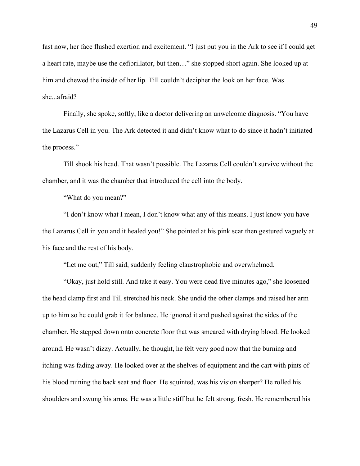fast now, her face flushed exertion and excitement. "I just put you in the Ark to see if I could get a heart rate, maybe use the defibrillator, but then…" she stopped short again. She looked up at him and chewed the inside of her lip. Till couldn't decipher the look on her face. Was she...afraid?

Finally, she spoke, softly, like a doctor delivering an unwelcome diagnosis. "You have the Lazarus Cell in you. The Ark detected it and didn't know what to do since it hadn't initiated the process."

Till shook his head. That wasn't possible. The Lazarus Cell couldn't survive without the chamber, and it was the chamber that introduced the cell into the body.

"What do you mean?"

"I don't know what I mean, I don't know what any of this means. I just know you have the Lazarus Cell in you and it healed you!" She pointed at his pink scar then gestured vaguely at his face and the rest of his body.

"Let me out," Till said, suddenly feeling claustrophobic and overwhelmed.

"Okay, just hold still. And take it easy. You were dead five minutes ago," she loosened the head clamp first and Till stretched his neck. She undid the other clamps and raised her arm up to him so he could grab it for balance. He ignored it and pushed against the sides of the chamber. He stepped down onto concrete floor that was smeared with drying blood. He looked around. He wasn't dizzy. Actually, he thought, he felt very good now that the burning and itching was fading away. He looked over at the shelves of equipment and the cart with pints of his blood ruining the back seat and floor. He squinted, was his vision sharper? He rolled his shoulders and swung his arms. He was a little stiff but he felt strong, fresh. He remembered his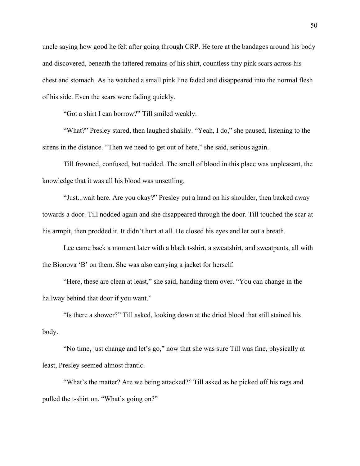uncle saying how good he felt after going through CRP. He tore at the bandages around his body and discovered, beneath the tattered remains of his shirt, countless tiny pink scars across his chest and stomach. As he watched a small pink line faded and disappeared into the normal flesh of his side. Even the scars were fading quickly.

"Got a shirt I can borrow?" Till smiled weakly.

"What?" Presley stared, then laughed shakily. "Yeah, I do," she paused, listening to the sirens in the distance. "Then we need to get out of here," she said, serious again.

Till frowned, confused, but nodded. The smell of blood in this place was unpleasant, the knowledge that it was all his blood was unsettling.

"Just...wait here. Are you okay?" Presley put a hand on his shoulder, then backed away towards a door. Till nodded again and she disappeared through the door. Till touched the scar at his armpit, then prodded it. It didn't hurt at all. He closed his eyes and let out a breath.

Lee came back a moment later with a black t-shirt, a sweatshirt, and sweatpants, all with the Bionova 'B' on them. She was also carrying a jacket for herself.

"Here, these are clean at least," she said, handing them over. "You can change in the hallway behind that door if you want."

"Is there a shower?" Till asked, looking down at the dried blood that still stained his body.

"No time, just change and let's go," now that she was sure Till was fine, physically at least, Presley seemed almost frantic.

"What's the matter? Are we being attacked?" Till asked as he picked off his rags and pulled the t-shirt on. "What's going on?"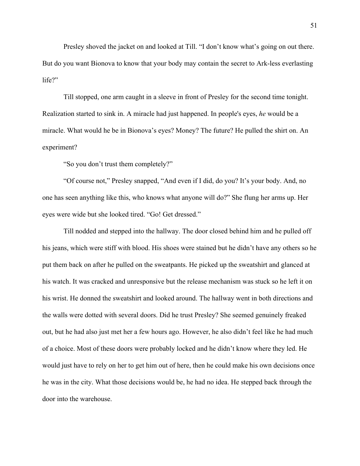Presley shoved the jacket on and looked at Till. "I don't know what's going on out there. But do you want Bionova to know that your body may contain the secret to Ark-less everlasting life?"

Till stopped, one arm caught in a sleeve in front of Presley for the second time tonight. Realization started to sink in. A miracle had just happened. In people's eyes, *he* would be a miracle. What would he be in Bionova's eyes? Money? The future? He pulled the shirt on. An experiment?

"So you don't trust them completely?"

"Of course not," Presley snapped, "And even if I did, do you? It's your body. And, no one has seen anything like this, who knows what anyone will do?" She flung her arms up. Her eyes were wide but she looked tired. "Go! Get dressed."

Till nodded and stepped into the hallway. The door closed behind him and he pulled off his jeans, which were stiff with blood. His shoes were stained but he didn't have any others so he put them back on after he pulled on the sweatpants. He picked up the sweatshirt and glanced at his watch. It was cracked and unresponsive but the release mechanism was stuck so he left it on his wrist. He donned the sweatshirt and looked around. The hallway went in both directions and the walls were dotted with several doors. Did he trust Presley? She seemed genuinely freaked out, but he had also just met her a few hours ago. However, he also didn't feel like he had much of a choice. Most of these doors were probably locked and he didn't know where they led. He would just have to rely on her to get him out of here, then he could make his own decisions once he was in the city. What those decisions would be, he had no idea. He stepped back through the door into the warehouse.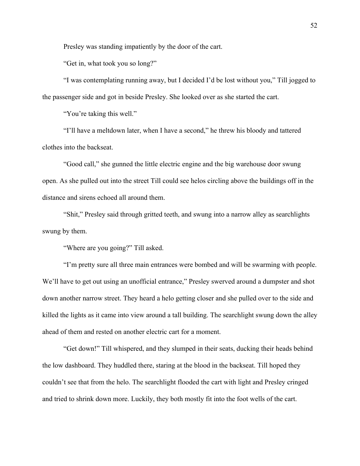Presley was standing impatiently by the door of the cart.

"Get in, what took you so long?"

"I was contemplating running away, but I decided I'd be lost without you," Till jogged to the passenger side and got in beside Presley. She looked over as she started the cart.

"You're taking this well."

"I'll have a meltdown later, when I have a second," he threw his bloody and tattered clothes into the backseat.

"Good call," she gunned the little electric engine and the big warehouse door swung open. As she pulled out into the street Till could see helos circling above the buildings off in the distance and sirens echoed all around them.

"Shit," Presley said through gritted teeth, and swung into a narrow alley as searchlights swung by them.

"Where are you going?" Till asked.

"I'm pretty sure all three main entrances were bombed and will be swarming with people. We'll have to get out using an unofficial entrance," Presley swerved around a dumpster and shot down another narrow street. They heard a helo getting closer and she pulled over to the side and killed the lights as it came into view around a tall building. The searchlight swung down the alley ahead of them and rested on another electric cart for a moment.

"Get down!" Till whispered, and they slumped in their seats, ducking their heads behind the low dashboard. They huddled there, staring at the blood in the backseat. Till hoped they couldn't see that from the helo. The searchlight flooded the cart with light and Presley cringed and tried to shrink down more. Luckily, they both mostly fit into the foot wells of the cart.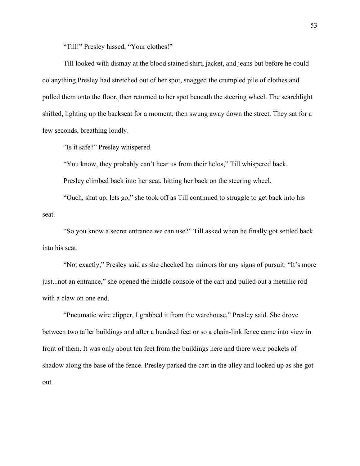"Till!" Presley hissed, "Your clothes!"

Till looked with dismay at the blood stained shirt, jacket, and jeans but before he could do anything Presley had stretched out of her spot, snagged the crumpled pile of clothes and pulled them onto the floor, then returned to her spot beneath the steering wheel. The searchlight shifted, lighting up the backseat for a moment, then swung away down the street. They sat for a few seconds, breathing loudly.

"Is it safe?" Presley whispered.

"You know, they probably can't hear us from their helos," Till whispered back.

Presley climbed back into her seat, hitting her back on the steering wheel.

"Ouch, shut up, lets go," she took off as Till continued to struggle to get back into his seat.

"So you know a secret entrance we can use?" Till asked when he finally got settled back into his seat.

"Not exactly," Presley said as she checked her mirrors for any signs of pursuit. "It's more just...not an entrance," she opened the middle console of the cart and pulled out a metallic rod with a claw on one end.

"Pneumatic wire clipper, I grabbed it from the warehouse," Presley said. She drove between two taller buildings and after a hundred feet or so a chain-link fence came into view in front of them. It was only about ten feet from the buildings here and there were pockets of shadow along the base of the fence. Presley parked the cart in the alley and looked up as she got out.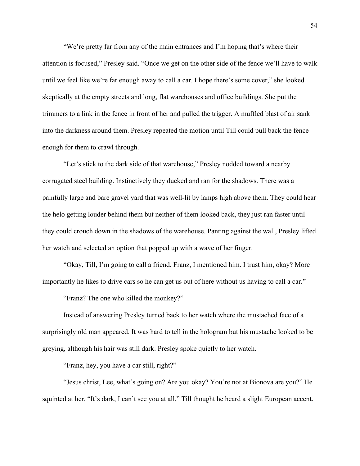"We're pretty far from any of the main entrances and I'm hoping that's where their attention is focused," Presley said. "Once we get on the other side of the fence we'll have to walk until we feel like we're far enough away to call a car. I hope there's some cover," she looked skeptically at the empty streets and long, flat warehouses and office buildings. She put the trimmers to a link in the fence in front of her and pulled the trigger. A muffled blast of air sank into the darkness around them. Presley repeated the motion until Till could pull back the fence enough for them to crawl through.

"Let's stick to the dark side of that warehouse," Presley nodded toward a nearby corrugated steel building. Instinctively they ducked and ran for the shadows. There was a painfully large and bare gravel yard that was well-lit by lamps high above them. They could hear the helo getting louder behind them but neither of them looked back, they just ran faster until they could crouch down in the shadows of the warehouse. Panting against the wall, Presley lifted her watch and selected an option that popped up with a wave of her finger.

"Okay, Till, I'm going to call a friend. Franz, I mentioned him. I trust him, okay? More importantly he likes to drive cars so he can get us out of here without us having to call a car."

"Franz? The one who killed the monkey?"

Instead of answering Presley turned back to her watch where the mustached face of a surprisingly old man appeared. It was hard to tell in the hologram but his mustache looked to be greying, although his hair was still dark. Presley spoke quietly to her watch.

"Franz, hey, you have a car still, right?"

"Jesus christ, Lee, what's going on? Are you okay? You're not at Bionova are you?" He squinted at her. "It's dark, I can't see you at all," Till thought he heard a slight European accent.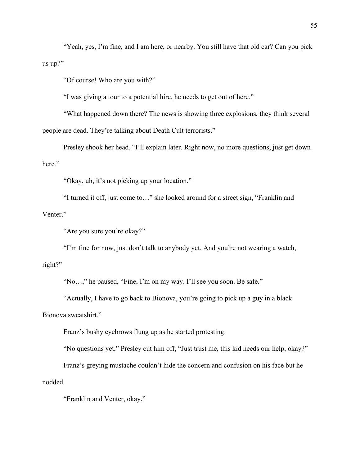"Yeah, yes, I'm fine, and I am here, or nearby. You still have that old car? Can you pick us up?"

"Of course! Who are you with?"

"I was giving a tour to a potential hire, he needs to get out of here."

"What happened down there? The news is showing three explosions, they think several people are dead. They're talking about Death Cult terrorists."

Presley shook her head, "I'll explain later. Right now, no more questions, just get down here."

"Okay, uh, it's not picking up your location."

"I turned it off, just come to…" she looked around for a street sign, "Franklin and Venter."

"Are you sure you're okay?"

"I'm fine for now, just don't talk to anybody yet. And you're not wearing a watch,

# right?"

"No…," he paused, "Fine, I'm on my way. I'll see you soon. Be safe."

"Actually, I have to go back to Bionova, you're going to pick up a guy in a black Bionova sweatshirt."

Franz's bushy eyebrows flung up as he started protesting.

"No questions yet," Presley cut him off, "Just trust me, this kid needs our help, okay?"

Franz's greying mustache couldn't hide the concern and confusion on his face but he nodded.

"Franklin and Venter, okay."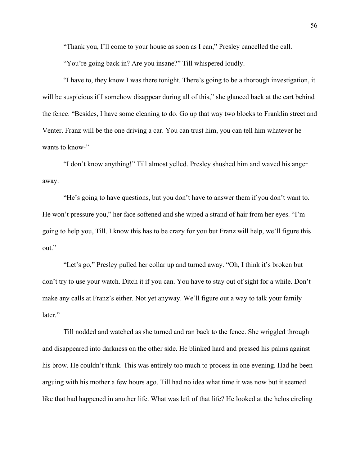"Thank you, I'll come to your house as soon as I can," Presley cancelled the call.

"You're going back in? Are you insane?" Till whispered loudly.

"I have to, they know I was there tonight. There's going to be a thorough investigation, it will be suspicious if I somehow disappear during all of this," she glanced back at the cart behind the fence. "Besides, I have some cleaning to do. Go up that way two blocks to Franklin street and Venter. Franz will be the one driving a car. You can trust him, you can tell him whatever he wants to know-"

"I don't know anything!" Till almost yelled. Presley shushed him and waved his anger away.

"He's going to have questions, but you don't have to answer them if you don't want to. He won't pressure you," her face softened and she wiped a strand of hair from her eyes. "I'm going to help you, Till. I know this has to be crazy for you but Franz will help, we'll figure this out."

"Let's go," Presley pulled her collar up and turned away. "Oh, I think it's broken but don't try to use your watch. Ditch it if you can. You have to stay out of sight for a while. Don't make any calls at Franz's either. Not yet anyway. We'll figure out a way to talk your family later."

Till nodded and watched as she turned and ran back to the fence. She wriggled through and disappeared into darkness on the other side. He blinked hard and pressed his palms against his brow. He couldn't think. This was entirely too much to process in one evening. Had he been arguing with his mother a few hours ago. Till had no idea what time it was now but it seemed like that had happened in another life. What was left of that life? He looked at the helos circling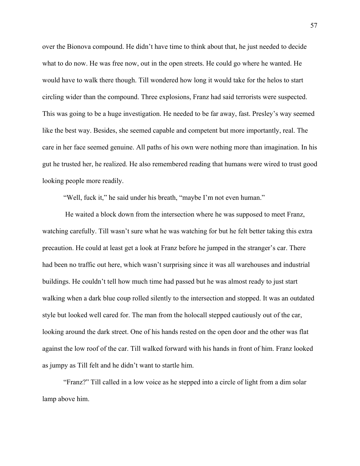over the Bionova compound. He didn't have time to think about that, he just needed to decide what to do now. He was free now, out in the open streets. He could go where he wanted. He would have to walk there though. Till wondered how long it would take for the helos to start circling wider than the compound. Three explosions, Franz had said terrorists were suspected. This was going to be a huge investigation. He needed to be far away, fast. Presley's way seemed like the best way. Besides, she seemed capable and competent but more importantly, real. The care in her face seemed genuine. All paths of his own were nothing more than imagination. In his gut he trusted her, he realized. He also remembered reading that humans were wired to trust good looking people more readily.

"Well, fuck it," he said under his breath, "maybe I'm not even human."

 He waited a block down from the intersection where he was supposed to meet Franz, watching carefully. Till wasn't sure what he was watching for but he felt better taking this extra precaution. He could at least get a look at Franz before he jumped in the stranger's car. There had been no traffic out here, which wasn't surprising since it was all warehouses and industrial buildings. He couldn't tell how much time had passed but he was almost ready to just start walking when a dark blue coup rolled silently to the intersection and stopped. It was an outdated style but looked well cared for. The man from the holocall stepped cautiously out of the car, looking around the dark street. One of his hands rested on the open door and the other was flat against the low roof of the car. Till walked forward with his hands in front of him. Franz looked as jumpy as Till felt and he didn't want to startle him.

"Franz?" Till called in a low voice as he stepped into a circle of light from a dim solar lamp above him.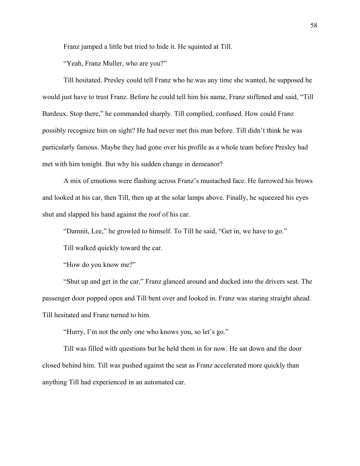Franz jumped a little but tried to hide it. He squinted at Till.

"Yeah, Franz Muller, who are you?"

Till hesitated. Presley could tell Franz who he was any time she wanted, he supposed he would just have to trust Franz. Before he could tell him his name, Franz stiffened and said, "Till Bardeux. Stop there," he commanded sharply. Till complied, confused. How could Franz possibly recognize him on sight? He had never met this man before. Till didn't think he was particularly famous. Maybe they had gone over his profile as a whole team before Presley had met with him tonight. But why his sudden change in demeanor?

A mix of emotions were flashing across Franz's mustached face. He furrowed his brows and looked at his car, then Till, then up at the solar lamps above. Finally, he squeezed his eyes shut and slapped his hand against the roof of his car.

"Damnit, Lee," he growled to himself. To Till he said, "Get in, we have to go."

Till walked quickly toward the car.

"How do you know me?"

"Shut up and get in the car," Franz glanced around and ducked into the drivers seat. The passenger door popped open and Till bent over and looked in. Franz was staring straight ahead. Till hesitated and Franz turned to him.

"Hurry, I'm not the only one who knows you, so let's go."

Till was filled with questions but he held them in for now. He sat down and the door closed behind him. Till was pushed against the seat as Franz accelerated more quickly than anything Till had experienced in an automated car.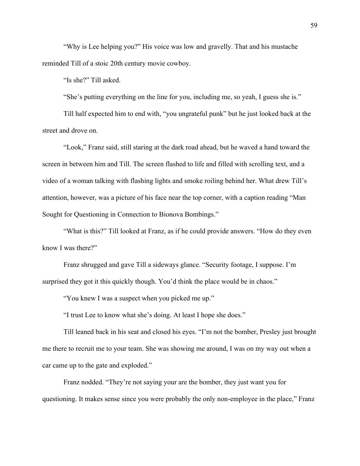"Why is Lee helping you?" His voice was low and gravelly. That and his mustache reminded Till of a stoic 20th century movie cowboy.

"Is she?" Till asked.

"She's putting everything on the line for you, including me, so yeah, I guess she is."

Till half expected him to end with, "you ungrateful punk" but he just looked back at the street and drove on.

"Look," Franz said, still staring at the dark road ahead, but he waved a hand toward the screen in between him and Till. The screen flashed to life and filled with scrolling text, and a video of a woman talking with flashing lights and smoke roiling behind her. What drew Till's attention, however, was a picture of his face near the top corner, with a caption reading "Man Sought for Questioning in Connection to Bionova Bombings."

"What is this?" Till looked at Franz, as if he could provide answers. "How do they even know I was there?"

Franz shrugged and gave Till a sideways glance. "Security footage, I suppose. I'm surprised they got it this quickly though. You'd think the place would be in chaos."

"You knew I was a suspect when you picked me up."

"I trust Lee to know what she's doing. At least I hope she does."

Till leaned back in his seat and closed his eyes. "I'm not the bomber, Presley just brought me there to recruit me to your team. She was showing me around, I was on my way out when a car came up to the gate and exploded."

Franz nodded. "They're not saying your are the bomber, they just want you for questioning. It makes sense since you were probably the only non-employee in the place," Franz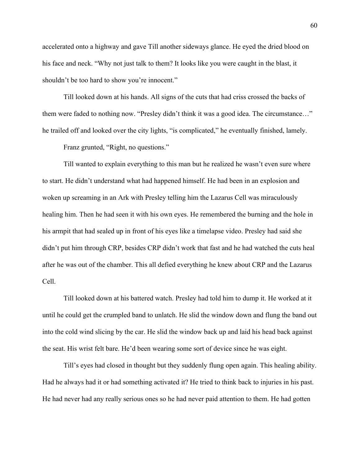accelerated onto a highway and gave Till another sideways glance. He eyed the dried blood on his face and neck. "Why not just talk to them? It looks like you were caught in the blast, it shouldn't be too hard to show you're innocent."

Till looked down at his hands. All signs of the cuts that had criss crossed the backs of them were faded to nothing now. "Presley didn't think it was a good idea. The circumstance…" he trailed off and looked over the city lights, "is complicated," he eventually finished, lamely.

Franz grunted, "Right, no questions."

Till wanted to explain everything to this man but he realized he wasn't even sure where to start. He didn't understand what had happened himself. He had been in an explosion and woken up screaming in an Ark with Presley telling him the Lazarus Cell was miraculously healing him. Then he had seen it with his own eyes. He remembered the burning and the hole in his armpit that had sealed up in front of his eyes like a timelapse video. Presley had said she didn't put him through CRP, besides CRP didn't work that fast and he had watched the cuts heal after he was out of the chamber. This all defied everything he knew about CRP and the Lazarus Cell.

Till looked down at his battered watch. Presley had told him to dump it. He worked at it until he could get the crumpled band to unlatch. He slid the window down and flung the band out into the cold wind slicing by the car. He slid the window back up and laid his head back against the seat. His wrist felt bare. He'd been wearing some sort of device since he was eight.

Till's eyes had closed in thought but they suddenly flung open again. This healing ability. Had he always had it or had something activated it? He tried to think back to injuries in his past. He had never had any really serious ones so he had never paid attention to them. He had gotten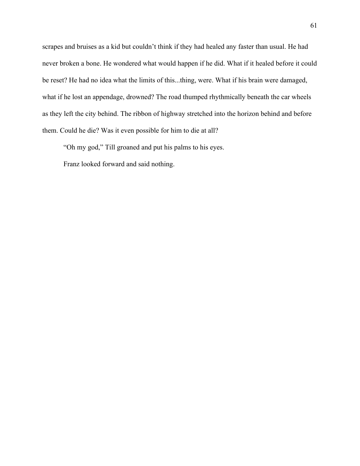scrapes and bruises as a kid but couldn't think if they had healed any faster than usual. He had never broken a bone. He wondered what would happen if he did. What if it healed before it could be reset? He had no idea what the limits of this...thing, were. What if his brain were damaged, what if he lost an appendage, drowned? The road thumped rhythmically beneath the car wheels as they left the city behind. The ribbon of highway stretched into the horizon behind and before them. Could he die? Was it even possible for him to die at all?

"Oh my god," Till groaned and put his palms to his eyes.

Franz looked forward and said nothing.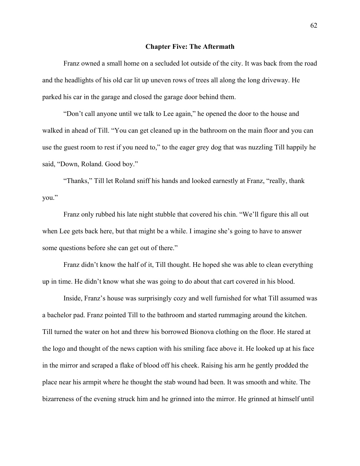### **Chapter Five: The Aftermath**

Franz owned a small home on a secluded lot outside of the city. It was back from the road and the headlights of his old car lit up uneven rows of trees all along the long driveway. He parked his car in the garage and closed the garage door behind them.

"Don't call anyone until we talk to Lee again," he opened the door to the house and walked in ahead of Till. "You can get cleaned up in the bathroom on the main floor and you can use the guest room to rest if you need to," to the eager grey dog that was nuzzling Till happily he said, "Down, Roland. Good boy."

"Thanks," Till let Roland sniff his hands and looked earnestly at Franz, "really, thank you."

Franz only rubbed his late night stubble that covered his chin. "We'll figure this all out when Lee gets back here, but that might be a while. I imagine she's going to have to answer some questions before she can get out of there."

Franz didn't know the half of it, Till thought. He hoped she was able to clean everything up in time. He didn't know what she was going to do about that cart covered in his blood.

Inside, Franz's house was surprisingly cozy and well furnished for what Till assumed was a bachelor pad. Franz pointed Till to the bathroom and started rummaging around the kitchen. Till turned the water on hot and threw his borrowed Bionova clothing on the floor. He stared at the logo and thought of the news caption with his smiling face above it. He looked up at his face in the mirror and scraped a flake of blood off his cheek. Raising his arm he gently prodded the place near his armpit where he thought the stab wound had been. It was smooth and white. The bizarreness of the evening struck him and he grinned into the mirror. He grinned at himself until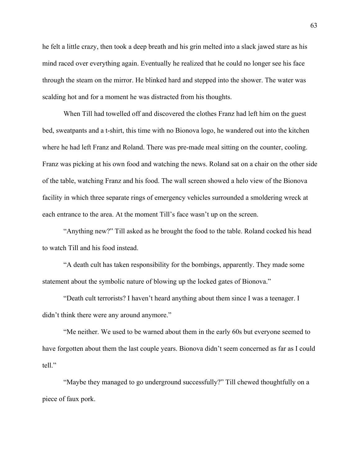he felt a little crazy, then took a deep breath and his grin melted into a slack jawed stare as his mind raced over everything again. Eventually he realized that he could no longer see his face through the steam on the mirror. He blinked hard and stepped into the shower. The water was scalding hot and for a moment he was distracted from his thoughts.

When Till had towelled off and discovered the clothes Franz had left him on the guest bed, sweatpants and a t-shirt, this time with no Bionova logo, he wandered out into the kitchen where he had left Franz and Roland. There was pre-made meal sitting on the counter, cooling. Franz was picking at his own food and watching the news. Roland sat on a chair on the other side of the table, watching Franz and his food. The wall screen showed a helo view of the Bionova facility in which three separate rings of emergency vehicles surrounded a smoldering wreck at each entrance to the area. At the moment Till's face wasn't up on the screen.

"Anything new?" Till asked as he brought the food to the table. Roland cocked his head to watch Till and his food instead.

"A death cult has taken responsibility for the bombings, apparently. They made some statement about the symbolic nature of blowing up the locked gates of Bionova."

"Death cult terrorists? I haven't heard anything about them since I was a teenager. I didn't think there were any around anymore."

"Me neither. We used to be warned about them in the early 60s but everyone seemed to have forgotten about them the last couple years. Bionova didn't seem concerned as far as I could tell."

"Maybe they managed to go underground successfully?" Till chewed thoughtfully on a piece of faux pork.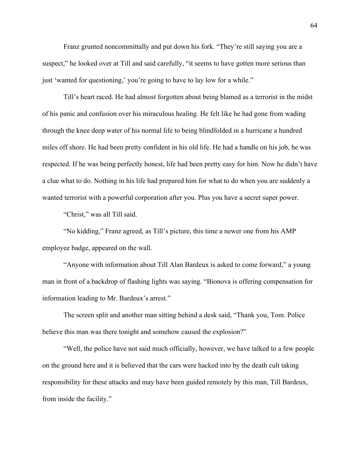Franz grunted noncommittally and put down his fork. "They're still saying you are a suspect," he looked over at Till and said carefully, "it seems to have gotten more serious than just 'wanted for questioning,' you're going to have to lay low for a while."

Till's heart raced. He had almost forgotten about being blamed as a terrorist in the midst of his panic and confusion over his miraculous healing. He felt like he had gone from wading through the knee deep water of his normal life to being blindfolded in a hurricane a hundred miles off shore. He had been pretty confident in his old life. He had a handle on his job, he was respected. If he was being perfectly honest, life had been pretty easy for him. Now he didn't have a clue what to do. Nothing in his life had prepared him for what to do when you are suddenly a wanted terrorist with a powerful corporation after you. Plus you have a secret super power.

"Christ," was all Till said.

"No kidding," Franz agreed, as Till's picture, this time a newer one from his AMP employee badge, appeared on the wall.

"Anyone with information about Till Alan Bardeux is asked to come forward," a young man in front of a backdrop of flashing lights was saying. "Bionova is offering compensation for information leading to Mr. Bardeux's arrest."

The screen split and another man sitting behind a desk said, "Thank you, Tom. Police believe this man was there tonight and somehow caused the explosion?"

"Well, the police have not said much officially, however, we have talked to a few people on the ground here and it is believed that the cars were hacked into by the death cult taking responsibility for these attacks and may have been guided remotely by this man, Till Bardeux, from inside the facility."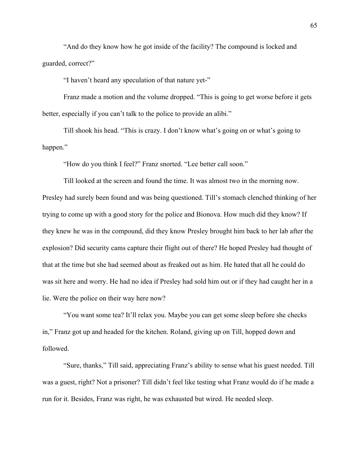"And do they know how he got inside of the facility? The compound is locked and guarded, correct?"

"I haven't heard any speculation of that nature yet-"

Franz made a motion and the volume dropped. "This is going to get worse before it gets better, especially if you can't talk to the police to provide an alibi."

Till shook his head. "This is crazy. I don't know what's going on or what's going to happen."

"How do you think I feel?" Franz snorted. "Lee better call soon."

Till looked at the screen and found the time. It was almost two in the morning now. Presley had surely been found and was being questioned. Till's stomach clenched thinking of her trying to come up with a good story for the police and Bionova. How much did they know? If they knew he was in the compound, did they know Presley brought him back to her lab after the explosion? Did security cams capture their flight out of there? He hoped Presley had thought of that at the time but she had seemed about as freaked out as him. He hated that all he could do was sit here and worry. He had no idea if Presley had sold him out or if they had caught her in a lie. Were the police on their way here now?

"You want some tea? It'll relax you. Maybe you can get some sleep before she checks in," Franz got up and headed for the kitchen. Roland, giving up on Till, hopped down and followed.

"Sure, thanks," Till said, appreciating Franz's ability to sense what his guest needed. Till was a guest, right? Not a prisoner? Till didn't feel like testing what Franz would do if he made a run for it. Besides, Franz was right, he was exhausted but wired. He needed sleep.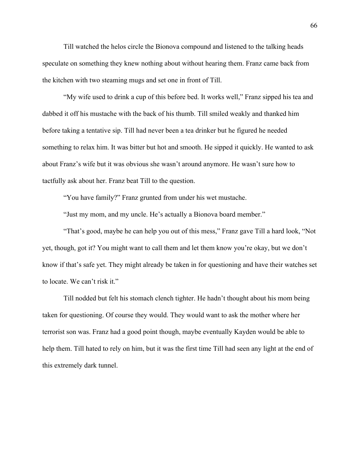Till watched the helos circle the Bionova compound and listened to the talking heads speculate on something they knew nothing about without hearing them. Franz came back from the kitchen with two steaming mugs and set one in front of Till.

"My wife used to drink a cup of this before bed. It works well," Franz sipped his tea and dabbed it off his mustache with the back of his thumb. Till smiled weakly and thanked him before taking a tentative sip. Till had never been a tea drinker but he figured he needed something to relax him. It was bitter but hot and smooth. He sipped it quickly. He wanted to ask about Franz's wife but it was obvious she wasn't around anymore. He wasn't sure how to tactfully ask about her. Franz beat Till to the question.

"You have family?" Franz grunted from under his wet mustache.

"Just my mom, and my uncle. He's actually a Bionova board member."

"That's good, maybe he can help you out of this mess," Franz gave Till a hard look, "Not yet, though, got it? You might want to call them and let them know you're okay, but we don't know if that's safe yet. They might already be taken in for questioning and have their watches set to locate. We can't risk it."

Till nodded but felt his stomach clench tighter. He hadn't thought about his mom being taken for questioning. Of course they would. They would want to ask the mother where her terrorist son was. Franz had a good point though, maybe eventually Kayden would be able to help them. Till hated to rely on him, but it was the first time Till had seen any light at the end of this extremely dark tunnel.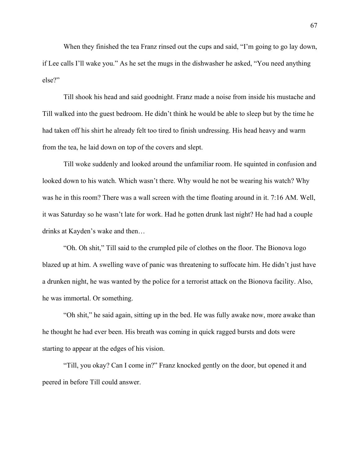When they finished the tea Franz rinsed out the cups and said, "I'm going to go lay down, if Lee calls I'll wake you." As he set the mugs in the dishwasher he asked, "You need anything else?"

Till shook his head and said goodnight. Franz made a noise from inside his mustache and Till walked into the guest bedroom. He didn't think he would be able to sleep but by the time he had taken off his shirt he already felt too tired to finish undressing. His head heavy and warm from the tea, he laid down on top of the covers and slept.

Till woke suddenly and looked around the unfamiliar room. He squinted in confusion and looked down to his watch. Which wasn't there. Why would he not be wearing his watch? Why was he in this room? There was a wall screen with the time floating around in it. 7:16 AM. Well, it was Saturday so he wasn't late for work. Had he gotten drunk last night? He had had a couple drinks at Kayden's wake and then…

"Oh. Oh shit," Till said to the crumpled pile of clothes on the floor. The Bionova logo blazed up at him. A swelling wave of panic was threatening to suffocate him. He didn't just have a drunken night, he was wanted by the police for a terrorist attack on the Bionova facility. Also, he was immortal. Or something.

"Oh shit," he said again, sitting up in the bed. He was fully awake now, more awake than he thought he had ever been. His breath was coming in quick ragged bursts and dots were starting to appear at the edges of his vision.

"Till, you okay? Can I come in?" Franz knocked gently on the door, but opened it and peered in before Till could answer.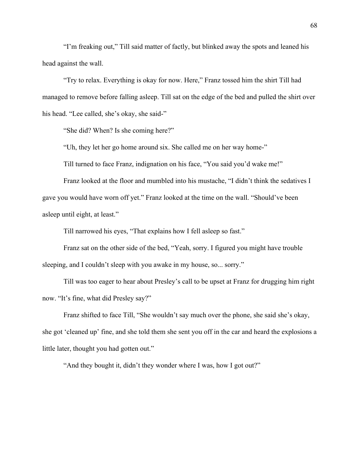"I'm freaking out," Till said matter of factly, but blinked away the spots and leaned his head against the wall.

"Try to relax. Everything is okay for now. Here," Franz tossed him the shirt Till had managed to remove before falling asleep. Till sat on the edge of the bed and pulled the shirt over his head. "Lee called, she's okay, she said-"

"She did? When? Is she coming here?"

"Uh, they let her go home around six. She called me on her way home-"

Till turned to face Franz, indignation on his face, "You said you'd wake me!"

Franz looked at the floor and mumbled into his mustache, "I didn't think the sedatives I gave you would have worn off yet." Franz looked at the time on the wall. "Should've been asleep until eight, at least."

Till narrowed his eyes, "That explains how I fell asleep so fast."

Franz sat on the other side of the bed, "Yeah, sorry. I figured you might have trouble sleeping, and I couldn't sleep with you awake in my house, so... sorry."

Till was too eager to hear about Presley's call to be upset at Franz for drugging him right now. "It's fine, what did Presley say?"

Franz shifted to face Till, "She wouldn't say much over the phone, she said she's okay, she got 'cleaned up' fine, and she told them she sent you off in the car and heard the explosions a little later, thought you had gotten out."

"And they bought it, didn't they wonder where I was, how I got out?"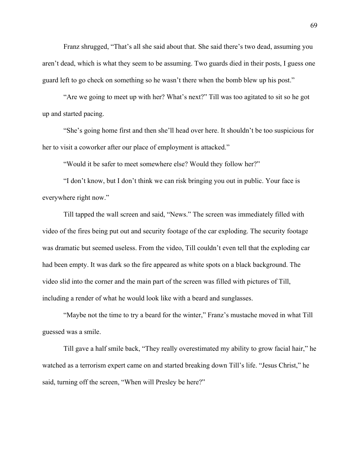Franz shrugged, "That's all she said about that. She said there's two dead, assuming you aren't dead, which is what they seem to be assuming. Two guards died in their posts, I guess one guard left to go check on something so he wasn't there when the bomb blew up his post."

"Are we going to meet up with her? What's next?" Till was too agitated to sit so he got up and started pacing.

"She's going home first and then she'll head over here. It shouldn't be too suspicious for her to visit a coworker after our place of employment is attacked."

"Would it be safer to meet somewhere else? Would they follow her?"

"I don't know, but I don't think we can risk bringing you out in public. Your face is everywhere right now."

Till tapped the wall screen and said, "News." The screen was immediately filled with video of the fires being put out and security footage of the car exploding. The security footage was dramatic but seemed useless. From the video, Till couldn't even tell that the exploding car had been empty. It was dark so the fire appeared as white spots on a black background. The video slid into the corner and the main part of the screen was filled with pictures of Till, including a render of what he would look like with a beard and sunglasses.

"Maybe not the time to try a beard for the winter," Franz's mustache moved in what Till guessed was a smile.

Till gave a half smile back, "They really overestimated my ability to grow facial hair," he watched as a terrorism expert came on and started breaking down Till's life. "Jesus Christ," he said, turning off the screen, "When will Presley be here?"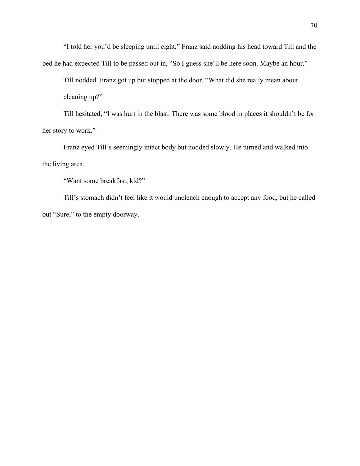"I told her you'd be sleeping until eight," Franz said nodding his head toward Till and the bed he had expected Till to be passed out in, "So I guess she'll be here soon. Maybe an hour."

Till nodded. Franz got up but stopped at the door. "What did she really mean about cleaning up?"

Till hesitated, "I was hurt in the blast. There was some blood in places it shouldn't be for her story to work."

Franz eyed Till's seemingly intact body but nodded slowly. He turned and walked into the living area.

"Want some breakfast, kid?"

Till's stomach didn't feel like it would unclench enough to accept any food, but he called out "Sure," to the empty doorway.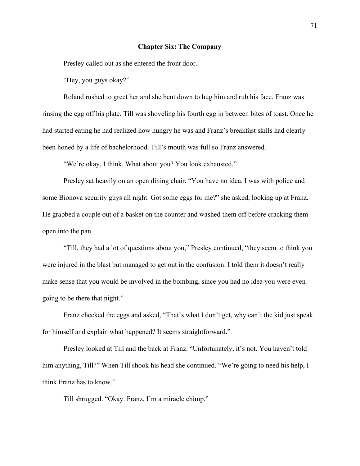# **Chapter Six: The Company**

Presley called out as she entered the front door.

"Hey, you guys okay?"

Roland rushed to greet her and she bent down to hug him and rub his face. Franz was rinsing the egg off his plate. Till was shoveling his fourth egg in between bites of toast. Once he had started eating he had realized how hungry he was and Franz's breakfast skills had clearly been honed by a life of bachelorhood. Till's mouth was full so Franz answered.

"We're okay, I think. What about you? You look exhausted."

Presley sat heavily on an open dining chair. "You have no idea. I was with police and some Bionova security guys all night. Got some eggs for me?" she asked, looking up at Franz. He grabbed a couple out of a basket on the counter and washed them off before cracking them open into the pan.

"Till, they had a lot of questions about you," Presley continued, "they seem to think you were injured in the blast but managed to get out in the confusion. I told them it doesn't really make sense that you would be involved in the bombing, since you had no idea you were even going to be there that night."

Franz checked the eggs and asked, "That's what I don't get, why can't the kid just speak for himself and explain what happened? It seems straightforward."

Presley looked at Till and the back at Franz. "Unfortunately, it's not. You haven't told him anything, Till?" When Till shook his head she continued. "We're going to need his help, I think Franz has to know."

Till shrugged. "Okay. Franz, I'm a miracle chimp."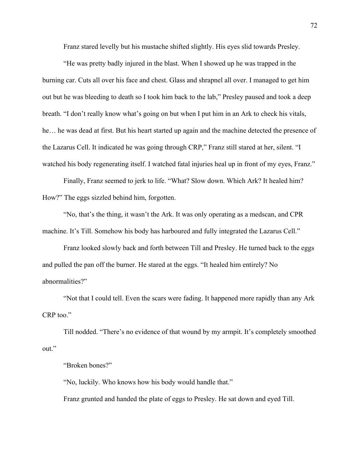Franz stared levelly but his mustache shifted slightly. His eyes slid towards Presley.

"He was pretty badly injured in the blast. When I showed up he was trapped in the burning car. Cuts all over his face and chest. Glass and shrapnel all over. I managed to get him out but he was bleeding to death so I took him back to the lab," Presley paused and took a deep breath. "I don't really know what's going on but when I put him in an Ark to check his vitals, he… he was dead at first. But his heart started up again and the machine detected the presence of the Lazarus Cell. It indicated he was going through CRP," Franz still stared at her, silent. "I watched his body regenerating itself. I watched fatal injuries heal up in front of my eyes, Franz."

Finally, Franz seemed to jerk to life. "What? Slow down. Which Ark? It healed him? How?" The eggs sizzled behind him, forgotten.

"No, that's the thing, it wasn't the Ark. It was only operating as a medscan, and CPR machine. It's Till. Somehow his body has harboured and fully integrated the Lazarus Cell."

Franz looked slowly back and forth between Till and Presley. He turned back to the eggs and pulled the pan off the burner. He stared at the eggs. "It healed him entirely? No abnormalities?"

"Not that I could tell. Even the scars were fading. It happened more rapidly than any Ark CRP too."

Till nodded. "There's no evidence of that wound by my armpit. It's completely smoothed out."

"Broken bones?"

"No, luckily. Who knows how his body would handle that."

Franz grunted and handed the plate of eggs to Presley. He sat down and eyed Till.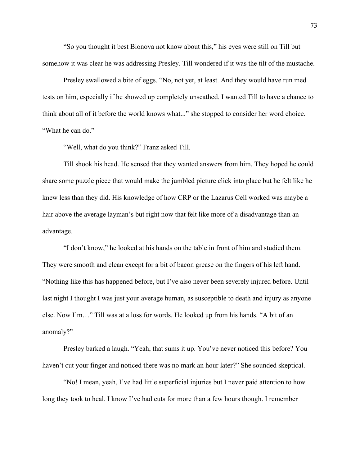"So you thought it best Bionova not know about this," his eyes were still on Till but somehow it was clear he was addressing Presley. Till wondered if it was the tilt of the mustache.

Presley swallowed a bite of eggs. "No, not yet, at least. And they would have run med tests on him, especially if he showed up completely unscathed. I wanted Till to have a chance to think about all of it before the world knows what..." she stopped to consider her word choice. "What he can do."

"Well, what do you think?" Franz asked Till.

Till shook his head. He sensed that they wanted answers from him. They hoped he could share some puzzle piece that would make the jumbled picture click into place but he felt like he knew less than they did. His knowledge of how CRP or the Lazarus Cell worked was maybe a hair above the average layman's but right now that felt like more of a disadvantage than an advantage.

"I don't know," he looked at his hands on the table in front of him and studied them. They were smooth and clean except for a bit of bacon grease on the fingers of his left hand. "Nothing like this has happened before, but I've also never been severely injured before. Until last night I thought I was just your average human, as susceptible to death and injury as anyone else. Now I'm…" Till was at a loss for words. He looked up from his hands. "A bit of an anomaly?"

Presley barked a laugh. "Yeah, that sums it up. You've never noticed this before? You haven't cut your finger and noticed there was no mark an hour later?" She sounded skeptical.

"No! I mean, yeah, I've had little superficial injuries but I never paid attention to how long they took to heal. I know I've had cuts for more than a few hours though. I remember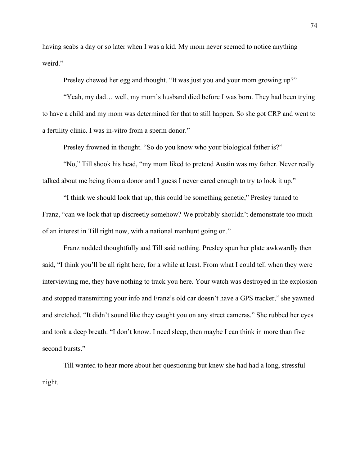having scabs a day or so later when I was a kid. My mom never seemed to notice anything weird."

Presley chewed her egg and thought. "It was just you and your mom growing up?"

"Yeah, my dad… well, my mom's husband died before I was born. They had been trying to have a child and my mom was determined for that to still happen. So she got CRP and went to a fertility clinic. I was in-vitro from a sperm donor."

Presley frowned in thought. "So do you know who your biological father is?"

"No," Till shook his head, "my mom liked to pretend Austin was my father. Never really talked about me being from a donor and I guess I never cared enough to try to look it up."

"I think we should look that up, this could be something genetic," Presley turned to Franz, "can we look that up discreetly somehow? We probably shouldn't demonstrate too much of an interest in Till right now, with a national manhunt going on."

Franz nodded thoughtfully and Till said nothing. Presley spun her plate awkwardly then said, "I think you'll be all right here, for a while at least. From what I could tell when they were interviewing me, they have nothing to track you here. Your watch was destroyed in the explosion and stopped transmitting your info and Franz's old car doesn't have a GPS tracker," she yawned and stretched. "It didn't sound like they caught you on any street cameras." She rubbed her eyes and took a deep breath. "I don't know. I need sleep, then maybe I can think in more than five second bursts."

Till wanted to hear more about her questioning but knew she had had a long, stressful night.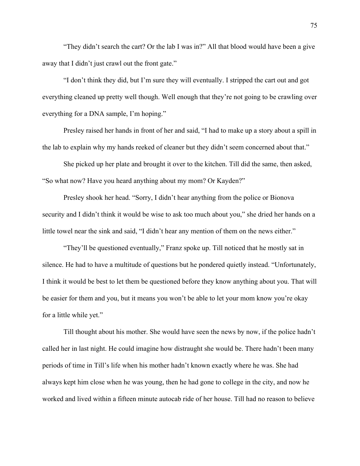"They didn't search the cart? Or the lab I was in?" All that blood would have been a give away that I didn't just crawl out the front gate."

"I don't think they did, but I'm sure they will eventually. I stripped the cart out and got everything cleaned up pretty well though. Well enough that they're not going to be crawling over everything for a DNA sample, I'm hoping."

Presley raised her hands in front of her and said, "I had to make up a story about a spill in the lab to explain why my hands reeked of cleaner but they didn't seem concerned about that."

She picked up her plate and brought it over to the kitchen. Till did the same, then asked, "So what now? Have you heard anything about my mom? Or Kayden?"

Presley shook her head. "Sorry, I didn't hear anything from the police or Bionova security and I didn't think it would be wise to ask too much about you," she dried her hands on a little towel near the sink and said, "I didn't hear any mention of them on the news either."

"They'll be questioned eventually," Franz spoke up. Till noticed that he mostly sat in silence. He had to have a multitude of questions but he pondered quietly instead. "Unfortunately, I think it would be best to let them be questioned before they know anything about you. That will be easier for them and you, but it means you won't be able to let your mom know you're okay for a little while yet."

Till thought about his mother. She would have seen the news by now, if the police hadn't called her in last night. He could imagine how distraught she would be. There hadn't been many periods of time in Till's life when his mother hadn't known exactly where he was. She had always kept him close when he was young, then he had gone to college in the city, and now he worked and lived within a fifteen minute autocab ride of her house. Till had no reason to believe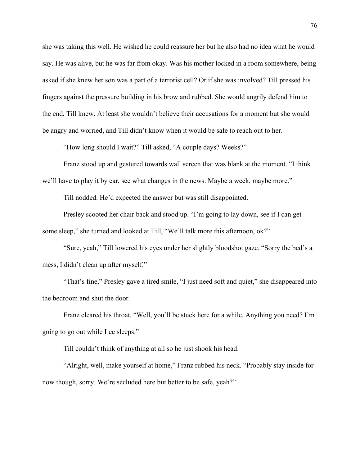she was taking this well. He wished he could reassure her but he also had no idea what he would say. He was alive, but he was far from okay. Was his mother locked in a room somewhere, being asked if she knew her son was a part of a terrorist cell? Or if she was involved? Till pressed his fingers against the pressure building in his brow and rubbed. She would angrily defend him to the end, Till knew. At least she wouldn't believe their accusations for a moment but she would be angry and worried, and Till didn't know when it would be safe to reach out to her.

"How long should I wait?" Till asked, "A couple days? Weeks?"

Franz stood up and gestured towards wall screen that was blank at the moment. "I think we'll have to play it by ear, see what changes in the news. Maybe a week, maybe more."

Till nodded. He'd expected the answer but was still disappointed.

Presley scooted her chair back and stood up. "I'm going to lay down, see if I can get some sleep," she turned and looked at Till, "We'll talk more this afternoon, ok?"

"Sure, yeah," Till lowered his eyes under her slightly bloodshot gaze. "Sorry the bed's a mess, I didn't clean up after myself."

"That's fine," Presley gave a tired smile, "I just need soft and quiet," she disappeared into the bedroom and shut the door.

Franz cleared his throat. "Well, you'll be stuck here for a while. Anything you need? I'm going to go out while Lee sleeps."

Till couldn't think of anything at all so he just shook his head.

"Alright, well, make yourself at home," Franz rubbed his neck. "Probably stay inside for now though, sorry. We're secluded here but better to be safe, yeah?"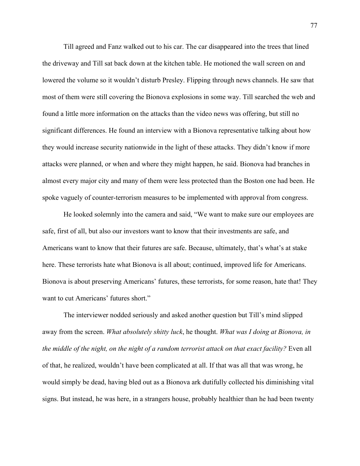Till agreed and Fanz walked out to his car. The car disappeared into the trees that lined the driveway and Till sat back down at the kitchen table. He motioned the wall screen on and lowered the volume so it wouldn't disturb Presley. Flipping through news channels. He saw that most of them were still covering the Bionova explosions in some way. Till searched the web and found a little more information on the attacks than the video news was offering, but still no significant differences. He found an interview with a Bionova representative talking about how they would increase security nationwide in the light of these attacks. They didn't know if more attacks were planned, or when and where they might happen, he said. Bionova had branches in almost every major city and many of them were less protected than the Boston one had been. He spoke vaguely of counter-terrorism measures to be implemented with approval from congress.

He looked solemnly into the camera and said, "We want to make sure our employees are safe, first of all, but also our investors want to know that their investments are safe, and Americans want to know that their futures are safe. Because, ultimately, that's what's at stake here. These terrorists hate what Bionova is all about; continued, improved life for Americans. Bionova is about preserving Americans' futures, these terrorists, for some reason, hate that! They want to cut Americans' futures short."

The interviewer nodded seriously and asked another question but Till's mind slipped away from the screen. *What absolutely shitty luck*, he thought. *What was I doing at Bionova, in the middle of the night, on the night of a random terrorist attack on that exact facility?* Even all of that, he realized, wouldn't have been complicated at all. If that was all that was wrong, he would simply be dead, having bled out as a Bionova ark dutifully collected his diminishing vital signs. But instead, he was here, in a strangers house, probably healthier than he had been twenty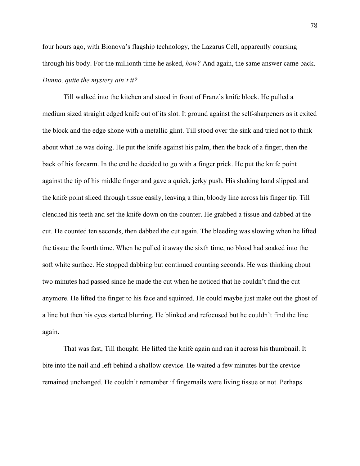four hours ago, with Bionova's flagship technology, the Lazarus Cell, apparently coursing through his body. For the millionth time he asked, *how?* And again, the same answer came back. *Dunno, quite the mystery ain't it?*

Till walked into the kitchen and stood in front of Franz's knife block. He pulled a medium sized straight edged knife out of its slot. It ground against the self-sharpeners as it exited the block and the edge shone with a metallic glint. Till stood over the sink and tried not to think about what he was doing. He put the knife against his palm, then the back of a finger, then the back of his forearm. In the end he decided to go with a finger prick. He put the knife point against the tip of his middle finger and gave a quick, jerky push. His shaking hand slipped and the knife point sliced through tissue easily, leaving a thin, bloody line across his finger tip. Till clenched his teeth and set the knife down on the counter. He grabbed a tissue and dabbed at the cut. He counted ten seconds, then dabbed the cut again. The bleeding was slowing when he lifted the tissue the fourth time. When he pulled it away the sixth time, no blood had soaked into the soft white surface. He stopped dabbing but continued counting seconds. He was thinking about two minutes had passed since he made the cut when he noticed that he couldn't find the cut anymore. He lifted the finger to his face and squinted. He could maybe just make out the ghost of a line but then his eyes started blurring. He blinked and refocused but he couldn't find the line again.

That was fast, Till thought. He lifted the knife again and ran it across his thumbnail. It bite into the nail and left behind a shallow crevice. He waited a few minutes but the crevice remained unchanged. He couldn't remember if fingernails were living tissue or not. Perhaps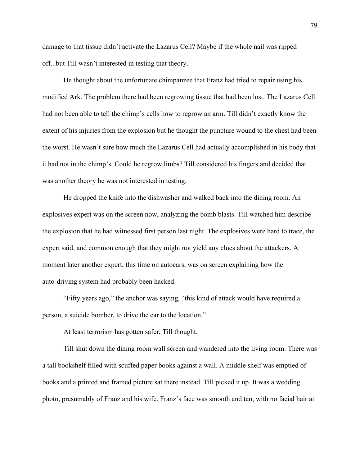damage to that tissue didn't activate the Lazarus Cell? Maybe if the whole nail was ripped off...but Till wasn't interested in testing that theory.

He thought about the unfortunate chimpanzee that Franz had tried to repair using his modified Ark. The problem there had been regrowing tissue that had been lost. The Lazarus Cell had not been able to tell the chimp's cells how to regrow an arm. Till didn't exactly know the extent of his injuries from the explosion but he thought the puncture wound to the chest had been the worst. He wasn't sure how much the Lazarus Cell had actually accomplished in his body that it had not in the chimp's. Could he regrow limbs? Till considered his fingers and decided that was another theory he was not interested in testing.

He dropped the knife into the dishwasher and walked back into the dining room. An explosives expert was on the screen now, analyzing the bomb blasts. Till watched him describe the explosion that he had witnessed first person last night. The explosives were hard to trace, the expert said, and common enough that they might not yield any clues about the attackers. A moment later another expert, this time on autocars, was on screen explaining how the auto-driving system had probably been hacked.

"Fifty years ago," the anchor was saying, "this kind of attack would have required a person, a suicide bomber, to drive the car to the location."

At least terrorism has gotten safer, Till thought.

Till shut down the dining room wall screen and wandered into the living room. There was a tall bookshelf filled with scuffed paper books against a wall. A middle shelf was emptied of books and a printed and framed picture sat there instead. Till picked it up. It was a wedding photo, presumably of Franz and his wife. Franz's face was smooth and tan, with no facial hair at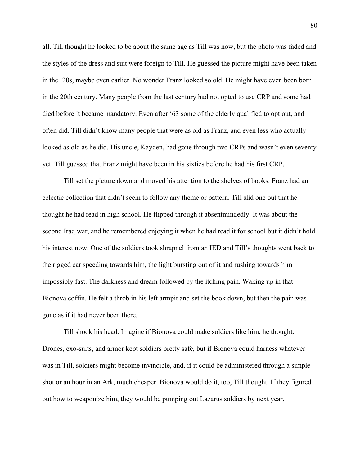all. Till thought he looked to be about the same age as Till was now, but the photo was faded and the styles of the dress and suit were foreign to Till. He guessed the picture might have been taken in the '20s, maybe even earlier. No wonder Franz looked so old. He might have even been born in the 20th century. Many people from the last century had not opted to use CRP and some had died before it became mandatory. Even after '63 some of the elderly qualified to opt out, and often did. Till didn't know many people that were as old as Franz, and even less who actually looked as old as he did. His uncle, Kayden, had gone through two CRPs and wasn't even seventy yet. Till guessed that Franz might have been in his sixties before he had his first CRP.

Till set the picture down and moved his attention to the shelves of books. Franz had an eclectic collection that didn't seem to follow any theme or pattern. Till slid one out that he thought he had read in high school. He flipped through it absentmindedly. It was about the second Iraq war, and he remembered enjoying it when he had read it for school but it didn't hold his interest now. One of the soldiers took shrapnel from an IED and Till's thoughts went back to the rigged car speeding towards him, the light bursting out of it and rushing towards him impossibly fast. The darkness and dream followed by the itching pain. Waking up in that Bionova coffin. He felt a throb in his left armpit and set the book down, but then the pain was gone as if it had never been there.

Till shook his head. Imagine if Bionova could make soldiers like him, he thought. Drones, exo-suits, and armor kept soldiers pretty safe, but if Bionova could harness whatever was in Till, soldiers might become invincible, and, if it could be administered through a simple shot or an hour in an Ark, much cheaper. Bionova would do it, too, Till thought. If they figured out how to weaponize him, they would be pumping out Lazarus soldiers by next year,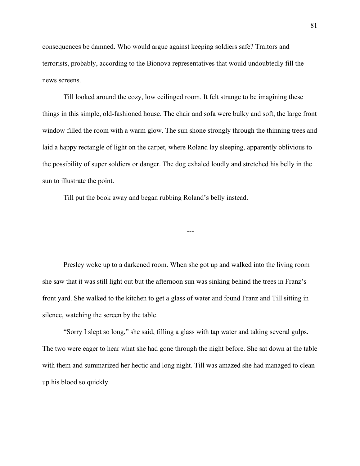consequences be damned. Who would argue against keeping soldiers safe? Traitors and terrorists, probably, according to the Bionova representatives that would undoubtedly fill the news screens.

Till looked around the cozy, low ceilinged room. It felt strange to be imagining these things in this simple, old-fashioned house. The chair and sofa were bulky and soft, the large front window filled the room with a warm glow. The sun shone strongly through the thinning trees and laid a happy rectangle of light on the carpet, where Roland lay sleeping, apparently oblivious to the possibility of super soldiers or danger. The dog exhaled loudly and stretched his belly in the sun to illustrate the point.

Till put the book away and began rubbing Roland's belly instead.

Presley woke up to a darkened room. When she got up and walked into the living room she saw that it was still light out but the afternoon sun was sinking behind the trees in Franz's front yard. She walked to the kitchen to get a glass of water and found Franz and Till sitting in silence, watching the screen by the table.

---

"Sorry I slept so long," she said, filling a glass with tap water and taking several gulps. The two were eager to hear what she had gone through the night before. She sat down at the table with them and summarized her hectic and long night. Till was amazed she had managed to clean up his blood so quickly.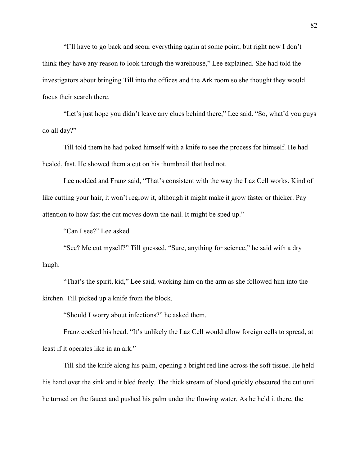"I'll have to go back and scour everything again at some point, but right now I don't think they have any reason to look through the warehouse," Lee explained. She had told the investigators about bringing Till into the offices and the Ark room so she thought they would focus their search there.

"Let's just hope you didn't leave any clues behind there," Lee said. "So, what'd you guys do all day?"

Till told them he had poked himself with a knife to see the process for himself. He had healed, fast. He showed them a cut on his thumbnail that had not.

Lee nodded and Franz said, "That's consistent with the way the Laz Cell works. Kind of like cutting your hair, it won't regrow it, although it might make it grow faster or thicker. Pay attention to how fast the cut moves down the nail. It might be sped up."

"Can I see?" Lee asked.

"See? Me cut myself?" Till guessed. "Sure, anything for science," he said with a dry laugh.

"That's the spirit, kid," Lee said, wacking him on the arm as she followed him into the kitchen. Till picked up a knife from the block.

"Should I worry about infections?" he asked them.

Franz cocked his head. "It's unlikely the Laz Cell would allow foreign cells to spread, at least if it operates like in an ark."

Till slid the knife along his palm, opening a bright red line across the soft tissue. He held his hand over the sink and it bled freely. The thick stream of blood quickly obscured the cut until he turned on the faucet and pushed his palm under the flowing water. As he held it there, the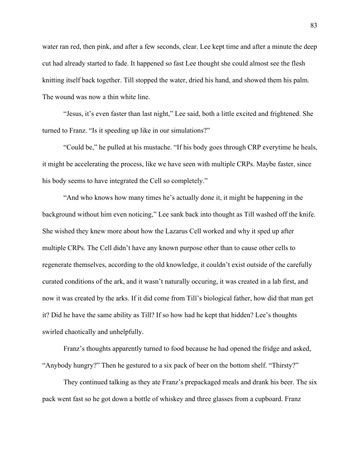water ran red, then pink, and after a few seconds, clear. Lee kept time and after a minute the deep cut had already started to fade. It happened so fast Lee thought she could almost see the flesh knitting itself back together. Till stopped the water, dried his hand, and showed them his palm. The wound was now a thin white line.

"Jesus, it's even faster than last night," Lee said, both a little excited and frightened. She turned to Franz. "Is it speeding up like in our simulations?"

"Could be," he pulled at his mustache. "If his body goes through CRP everytime he heals, it might be accelerating the process, like we have seen with multiple CRPs. Maybe faster, since his body seems to have integrated the Cell so completely."

"And who knows how many times he's actually done it, it might be happening in the background without him even noticing," Lee sank back into thought as Till washed off the knife. She wished they knew more about how the Lazarus Cell worked and why it sped up after multiple CRPs. The Cell didn't have any known purpose other than to cause other cells to regenerate themselves, according to the old knowledge, it couldn't exist outside of the carefully curated conditions of the ark, and it wasn't naturally occuring, it was created in a lab first, and now it was created by the arks. If it did come from Till's biological father, how did that man get it? Did he have the same ability as Till? If so how had he kept that hidden? Lee's thoughts swirled chaotically and unhelpfully.

Franz's thoughts apparently turned to food because he had opened the fridge and asked, "Anybody hungry?" Then he gestured to a six pack of beer on the bottom shelf. "Thirsty?"

They continued talking as they ate Franz's prepackaged meals and drank his beer. The six pack went fast so he got down a bottle of whiskey and three glasses from a cupboard. Franz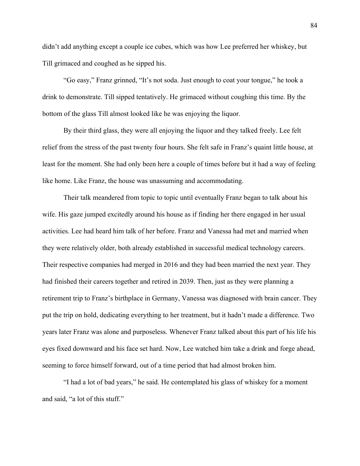didn't add anything except a couple ice cubes, which was how Lee preferred her whiskey, but Till grimaced and coughed as he sipped his.

"Go easy," Franz grinned, "It's not soda. Just enough to coat your tongue," he took a drink to demonstrate. Till sipped tentatively. He grimaced without coughing this time. By the bottom of the glass Till almost looked like he was enjoying the liquor.

By their third glass, they were all enjoying the liquor and they talked freely. Lee felt relief from the stress of the past twenty four hours. She felt safe in Franz's quaint little house, at least for the moment. She had only been here a couple of times before but it had a way of feeling like home. Like Franz, the house was unassuming and accommodating.

Their talk meandered from topic to topic until eventually Franz began to talk about his wife. His gaze jumped excitedly around his house as if finding her there engaged in her usual activities. Lee had heard him talk of her before. Franz and Vanessa had met and married when they were relatively older, both already established in successful medical technology careers. Their respective companies had merged in 2016 and they had been married the next year. They had finished their careers together and retired in 2039. Then, just as they were planning a retirement trip to Franz's birthplace in Germany, Vanessa was diagnosed with brain cancer. They put the trip on hold, dedicating everything to her treatment, but it hadn't made a difference. Two years later Franz was alone and purposeless. Whenever Franz talked about this part of his life his eyes fixed downward and his face set hard. Now, Lee watched him take a drink and forge ahead, seeming to force himself forward, out of a time period that had almost broken him.

"I had a lot of bad years," he said. He contemplated his glass of whiskey for a moment and said, "a lot of this stuff."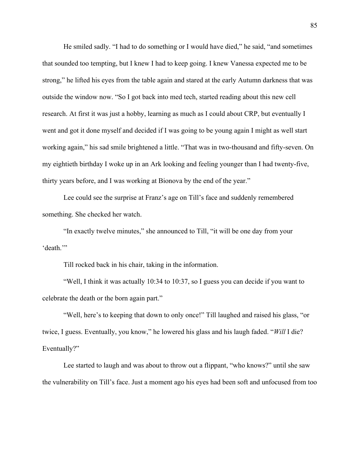He smiled sadly. "I had to do something or I would have died," he said, "and sometimes that sounded too tempting, but I knew I had to keep going. I knew Vanessa expected me to be strong," he lifted his eyes from the table again and stared at the early Autumn darkness that was outside the window now. "So I got back into med tech, started reading about this new cell research. At first it was just a hobby, learning as much as I could about CRP, but eventually I went and got it done myself and decided if I was going to be young again I might as well start working again," his sad smile brightened a little. "That was in two-thousand and fifty-seven. On my eightieth birthday I woke up in an Ark looking and feeling younger than I had twenty-five, thirty years before, and I was working at Bionova by the end of the year."

Lee could see the surprise at Franz's age on Till's face and suddenly remembered something. She checked her watch.

"In exactly twelve minutes," she announced to Till, "it will be one day from your 'death.'"

Till rocked back in his chair, taking in the information.

"Well, I think it was actually 10:34 to 10:37, so I guess you can decide if you want to celebrate the death or the born again part."

"Well, here's to keeping that down to only once!" Till laughed and raised his glass, "or twice, I guess. Eventually, you know," he lowered his glass and his laugh faded. "*Will* I die? Eventually?"

Lee started to laugh and was about to throw out a flippant, "who knows?" until she saw the vulnerability on Till's face. Just a moment ago his eyes had been soft and unfocused from too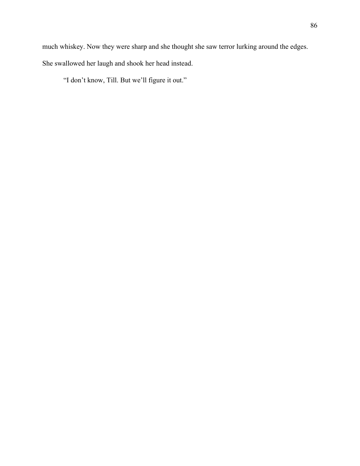"I don't know, Till. But we'll figure it out."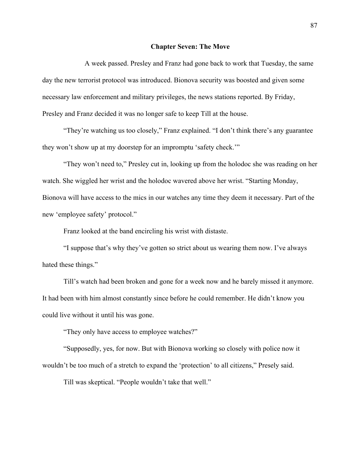## **Chapter Seven: The Move**

A week passed. Presley and Franz had gone back to work that Tuesday, the same day the new terrorist protocol was introduced. Bionova security was boosted and given some necessary law enforcement and military privileges, the news stations reported. By Friday, Presley and Franz decided it was no longer safe to keep Till at the house.

"They're watching us too closely," Franz explained. "I don't think there's any guarantee they won't show up at my doorstep for an impromptu 'safety check.'"

"They won't need to," Presley cut in, looking up from the holodoc she was reading on her watch. She wiggled her wrist and the holodoc wavered above her wrist. "Starting Monday, Bionova will have access to the mics in our watches any time they deem it necessary. Part of the new 'employee safety' protocol."

Franz looked at the band encircling his wrist with distaste.

"I suppose that's why they've gotten so strict about us wearing them now. I've always hated these things."

Till's watch had been broken and gone for a week now and he barely missed it anymore. It had been with him almost constantly since before he could remember. He didn't know you could live without it until his was gone.

"They only have access to employee watches?"

"Supposedly, yes, for now. But with Bionova working so closely with police now it wouldn't be too much of a stretch to expand the 'protection' to all citizens," Presely said.

Till was skeptical. "People wouldn't take that well."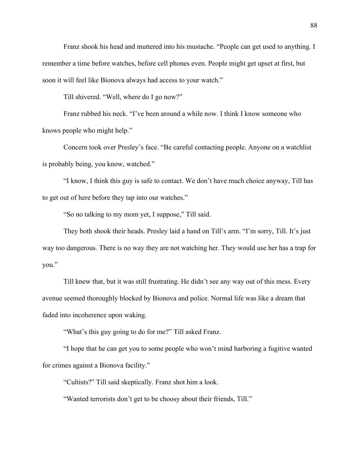Franz shook his head and muttered into his mustache. "People can get used to anything. I remember a time before watches, before cell phones even. People might get upset at first, but soon it will feel like Bionova always had access to your watch."

Till shivered. "Well, where do I go now?"

Franz rubbed his neck. "I've been around a while now. I think I know someone who knows people who might help."

Concern took over Presley's face. "Be careful contacting people. Anyone on a watchlist is probably being, you know, watched."

"I know, I think this guy is safe to contact. We don't have much choice anyway, Till has to get out of here before they tap into our watches."

"So no talking to my mom yet, I suppose," Till said.

They both shook their heads. Presley laid a hand on Till's arm. "I'm sorry, Till. It's just way too dangerous. There is no way they are not watching her. They would use her has a trap for you."

Till knew that, but it was still frustrating. He didn't see any way out of this mess. Every avenue seemed thoroughly blocked by Bionova and police. Normal life was like a dream that faded into incoherence upon waking.

"What's this guy going to do for me?" Till asked Franz.

"I hope that he can get you to some people who won't mind harboring a fugitive wanted for crimes against a Bionova facility."

"Cultists?" Till said skeptically. Franz shot him a look.

"Wanted terrorists don't get to be choosy about their friends, Till."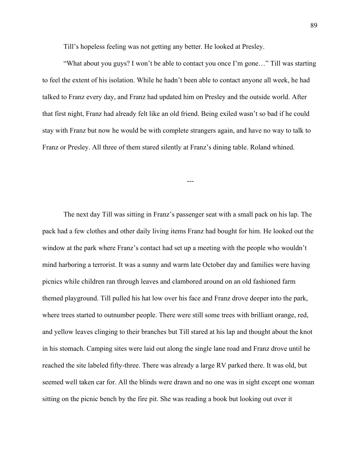Till's hopeless feeling was not getting any better. He looked at Presley.

"What about you guys? I won't be able to contact you once I'm gone…" Till was starting to feel the extent of his isolation. While he hadn't been able to contact anyone all week, he had talked to Franz every day, and Franz had updated him on Presley and the outside world. After that first night, Franz had already felt like an old friend. Being exiled wasn't so bad if he could stay with Franz but now he would be with complete strangers again, and have no way to talk to Franz or Presley. All three of them stared silently at Franz's dining table. Roland whined.

---

The next day Till was sitting in Franz's passenger seat with a small pack on his lap. The pack had a few clothes and other daily living items Franz had bought for him. He looked out the window at the park where Franz's contact had set up a meeting with the people who wouldn't mind harboring a terrorist. It was a sunny and warm late October day and families were having picnics while children ran through leaves and clambored around on an old fashioned farm themed playground. Till pulled his hat low over his face and Franz drove deeper into the park, where trees started to outnumber people. There were still some trees with brilliant orange, red, and yellow leaves clinging to their branches but Till stared at his lap and thought about the knot in his stomach. Camping sites were laid out along the single lane road and Franz drove until he reached the site labeled fifty-three. There was already a large RV parked there. It was old, but seemed well taken car for. All the blinds were drawn and no one was in sight except one woman sitting on the picnic bench by the fire pit. She was reading a book but looking out over it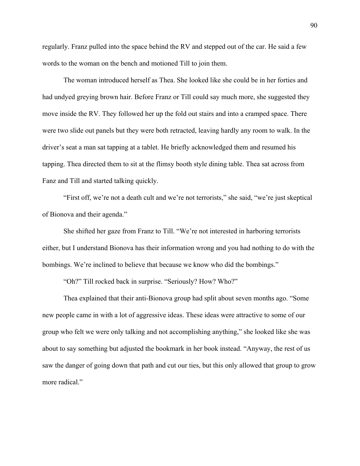regularly. Franz pulled into the space behind the RV and stepped out of the car. He said a few words to the woman on the bench and motioned Till to join them.

The woman introduced herself as Thea. She looked like she could be in her forties and had undyed greying brown hair. Before Franz or Till could say much more, she suggested they move inside the RV. They followed her up the fold out stairs and into a cramped space. There were two slide out panels but they were both retracted, leaving hardly any room to walk. In the driver's seat a man sat tapping at a tablet. He briefly acknowledged them and resumed his tapping. Thea directed them to sit at the flimsy booth style dining table. Thea sat across from Fanz and Till and started talking quickly.

"First off, we're not a death cult and we're not terrorists," she said, "we're just skeptical of Bionova and their agenda."

She shifted her gaze from Franz to Till. "We're not interested in harboring terrorists either, but I understand Bionova has their information wrong and you had nothing to do with the bombings. We're inclined to believe that because we know who did the bombings."

"Oh?" Till rocked back in surprise. "Seriously? How? Who?"

Thea explained that their anti-Bionova group had split about seven months ago. "Some new people came in with a lot of aggressive ideas. These ideas were attractive to some of our group who felt we were only talking and not accomplishing anything," she looked like she was about to say something but adjusted the bookmark in her book instead. "Anyway, the rest of us saw the danger of going down that path and cut our ties, but this only allowed that group to grow more radical."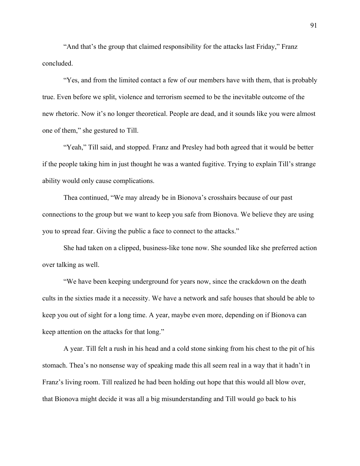"And that's the group that claimed responsibility for the attacks last Friday," Franz concluded.

"Yes, and from the limited contact a few of our members have with them, that is probably true. Even before we split, violence and terrorism seemed to be the inevitable outcome of the new rhetoric. Now it's no longer theoretical. People are dead, and it sounds like you were almost one of them," she gestured to Till.

"Yeah," Till said, and stopped. Franz and Presley had both agreed that it would be better if the people taking him in just thought he was a wanted fugitive. Trying to explain Till's strange ability would only cause complications.

Thea continued, "We may already be in Bionova's crosshairs because of our past connections to the group but we want to keep you safe from Bionova. We believe they are using you to spread fear. Giving the public a face to connect to the attacks."

She had taken on a clipped, business-like tone now. She sounded like she preferred action over talking as well.

"We have been keeping underground for years now, since the crackdown on the death cults in the sixties made it a necessity. We have a network and safe houses that should be able to keep you out of sight for a long time. A year, maybe even more, depending on if Bionova can keep attention on the attacks for that long."

A year. Till felt a rush in his head and a cold stone sinking from his chest to the pit of his stomach. Thea's no nonsense way of speaking made this all seem real in a way that it hadn't in Franz's living room. Till realized he had been holding out hope that this would all blow over, that Bionova might decide it was all a big misunderstanding and Till would go back to his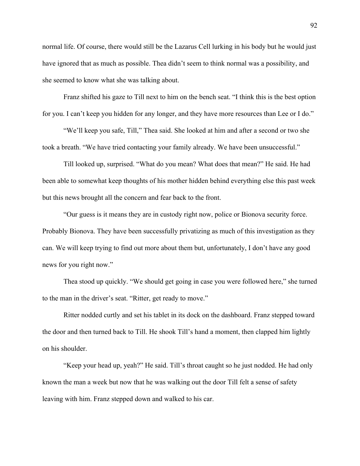normal life. Of course, there would still be the Lazarus Cell lurking in his body but he would just have ignored that as much as possible. Thea didn't seem to think normal was a possibility, and she seemed to know what she was talking about.

Franz shifted his gaze to Till next to him on the bench seat. "I think this is the best option for you. I can't keep you hidden for any longer, and they have more resources than Lee or I do."

"We'll keep you safe, Till," Thea said. She looked at him and after a second or two she took a breath. "We have tried contacting your family already. We have been unsuccessful."

Till looked up, surprised. "What do you mean? What does that mean?" He said. He had been able to somewhat keep thoughts of his mother hidden behind everything else this past week but this news brought all the concern and fear back to the front.

"Our guess is it means they are in custody right now, police or Bionova security force. Probably Bionova. They have been successfully privatizing as much of this investigation as they can. We will keep trying to find out more about them but, unfortunately, I don't have any good news for you right now."

Thea stood up quickly. "We should get going in case you were followed here," she turned to the man in the driver's seat. "Ritter, get ready to move."

Ritter nodded curtly and set his tablet in its dock on the dashboard. Franz stepped toward the door and then turned back to Till. He shook Till's hand a moment, then clapped him lightly on his shoulder.

"Keep your head up, yeah?" He said. Till's throat caught so he just nodded. He had only known the man a week but now that he was walking out the door Till felt a sense of safety leaving with him. Franz stepped down and walked to his car.